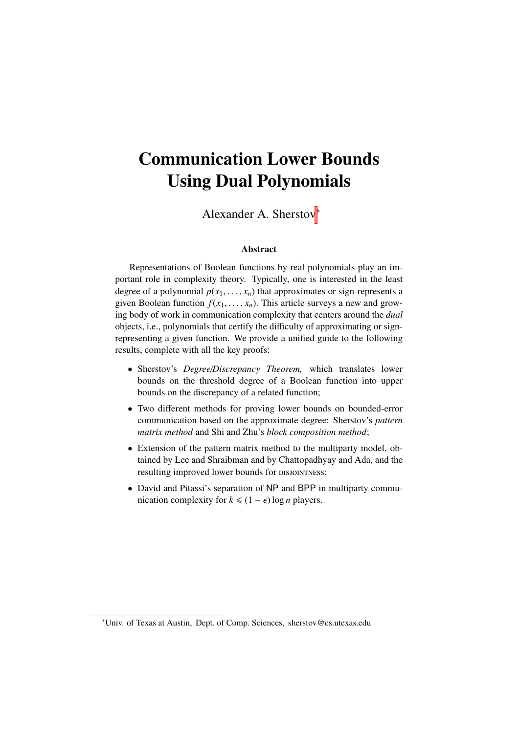## Communication Lower Bounds Using Dual Polynomials

Alexander A. Sherstov<sup>∗</sup>

#### Abstract

Representations of Boolean functions by real polynomials play an important role in complexity theory. Typically, one is interested in the least degree of a polynomial  $p(x_1, \ldots, x_n)$  that approximates or sign-represents a given Boolean function  $f(x_1, \ldots, x_n)$ . This article surveys a new and growing body of work in communication complexity that centers around the *dual* objects, i.e., polynomials that certify the difficulty of approximating or signrepresenting a given function. We provide a unified guide to the following results, complete with all the key proofs:

- Sherstov's *Degree*/*Discrepancy Theorem,* which translates lower bounds on the threshold degree of a Boolean function into upper bounds on the discrepancy of a related function;
- Two different methods for proving lower bounds on bounded-error communication based on the approximate degree: Sherstov's *pattern matrix method* and Shi and Zhu's *block composition method*;
- Extension of the pattern matrix method to the multiparty model, obtained by Lee and Shraibman and by Chattopadhyay and Ada, and the resulting improved lower bounds for DISJOINTNESS;
- David and Pitassi's separation of NP and BPP in multiparty communication complexity for  $k \leq (1 - \epsilon) \log n$  players.

<sup>∗</sup>Univ. of Texas at Austin, Dept. of Comp. Sciences, sherstov@cs.utexas.edu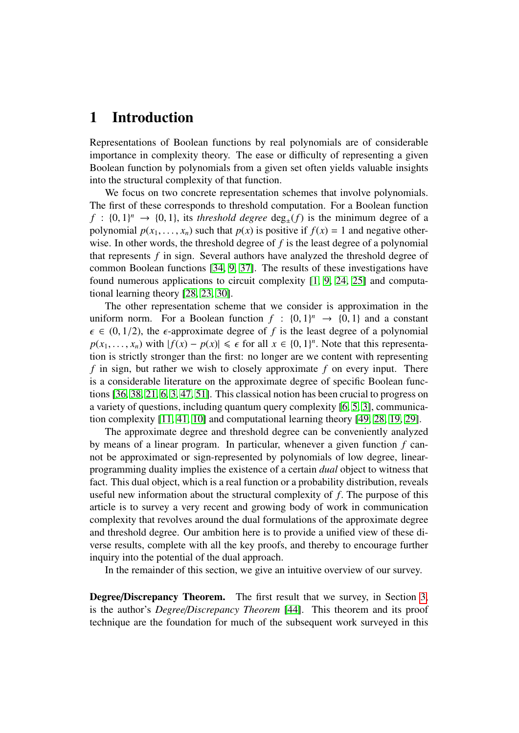### <span id="page-1-0"></span>1 Introduction

Representations of Boolean functions by real polynomials are of considerable importance in complexity theory. The ease or difficulty of representing a given Boolean function by polynomials from a given set often yields valuable insights into the structural complexity of that function.

We focus on two concrete representation schemes that involve polynomials. The first of these corresponds to threshold computation. For a Boolean function *<sup>f</sup>* : {0, <sup>1</sup>} *<sup>n</sup>* → {0, <sup>1</sup>}, its *threshold degree* deg±(*f*) is the minimum degree of a polynomial  $p(x_1, \ldots, x_n)$  such that  $p(x)$  is positive if  $f(x) = 1$  and negative otherwise. In other words, the threshold degree of *f* is the least degree of a polynomial that represents *f* in sign. Several authors have analyzed the threshold degree of common Boolean functions [\[34,](#page-33-0) [9,](#page-31-0) [37\]](#page-33-1). The results of these investigations have found numerous applications to circuit complexity [\[1,](#page-30-0) [9,](#page-31-0) [24,](#page-32-0) [25\]](#page-32-1) and computational learning theory [\[28,](#page-32-2) [23,](#page-32-3) [30\]](#page-32-4).

The other representation scheme that we consider is approximation in the uniform norm. For a Boolean function  $f : \{0, 1\}^n \to \{0, 1\}$  and a constant  $f \in (0, 1/2)$  the  $f$ -approximate degree of f is the least degree of a polynomial  $\epsilon \in (0, 1/2)$ , the  $\epsilon$ -approximate degree of *f* is the least degree of a polynomial  $p(x_1, \ldots, x_n)$  with  $|f(x) - p(x)| \le \epsilon$  for all  $x \in \{0, 1\}^n$ . Note that this representa-<br>tion is strictly stronger than the first: no longer are we content with representing tion is strictly stronger than the first: no longer are we content with representing *f* in sign, but rather we wish to closely approximate *f* on every input. There is a considerable literature on the approximate degree of specific Boolean functions [\[36,](#page-33-2) [38,](#page-33-3) [21,](#page-32-5) [6,](#page-31-1) [3,](#page-31-2) [47,](#page-34-0) [51\]](#page-34-1). This classical notion has been crucial to progress on a variety of questions, including quantum query complexity [\[6,](#page-31-1) [5,](#page-31-3) [3\]](#page-31-2), communication complexity [\[11,](#page-31-4) [41,](#page-33-4) [10\]](#page-31-5) and computational learning theory [\[49,](#page-34-2) [28,](#page-32-2) [19,](#page-32-6) [29\]](#page-32-7).

The approximate degree and threshold degree can be conveniently analyzed by means of a linear program. In particular, whenever a given function *f* cannot be approximated or sign-represented by polynomials of low degree, linearprogramming duality implies the existence of a certain *dual* object to witness that fact. This dual object, which is a real function or a probability distribution, reveals useful new information about the structural complexity of *<sup>f</sup>*. The purpose of this article is to survey a very recent and growing body of work in communication complexity that revolves around the dual formulations of the approximate degree and threshold degree. Our ambition here is to provide a unified view of these diverse results, complete with all the key proofs, and thereby to encourage further inquiry into the potential of the dual approach.

In the remainder of this section, we give an intuitive overview of our survey.

Degree/Discrepancy Theorem. The first result that we survey, in Section [3,](#page-8-0) is the author's *Degree*/*Discrepancy Theorem* [\[44\]](#page-33-5). This theorem and its proof technique are the foundation for much of the subsequent work surveyed in this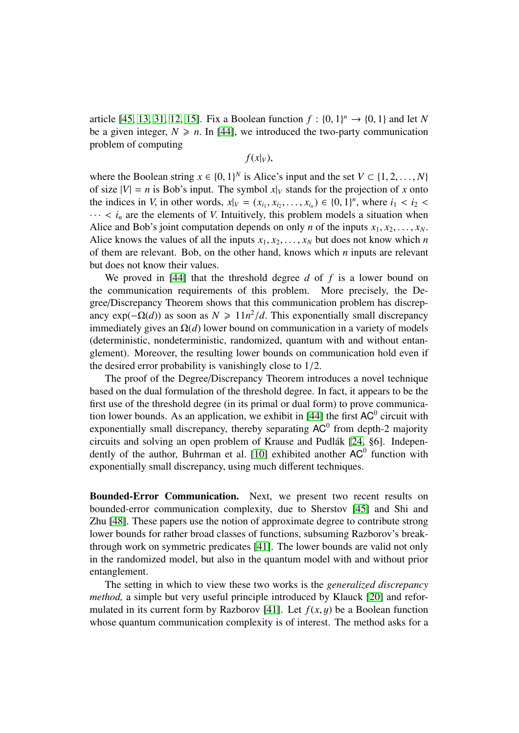article [\[45,](#page-33-6) [13,](#page-31-6) [31,](#page-33-7) [12,](#page-31-7) [15\]](#page-31-8). Fix a Boolean function  $f : \{0, 1\}^n \to \{0, 1\}$  and let *N* be a given integer  $N > n$ . In [441], we introduced the two-party communication be a given integer,  $N \geq n$ . In [\[44\]](#page-33-5), we introduced the two-party communication problem of computing

 $f(x|_V)$ ,

where the Boolean string  $x \in \{0, 1\}^N$  is Alice's input and the set  $V \subset \{1, 2, ..., N\}$ <br>of size  $|V| = n$  is Bob's input. The symbol  $x|_V$  stands for the projection of x onto of size  $|V| = n$  is Bob's input. The symbol  $x|_V$  stands for the projection of x onto the indices in *V*, in other words,  $x|_V = (x_{i_1}, x_{i_2}, \dots, x_{i_n}) \in \{0, 1\}^n$ , where  $i_1 < i_2 < \dots < i_n$  are the elements of *V* Intuitively, this problem models a situation when  $\cdots$  <  $i_n$  are the elements of *V*. Intuitively, this problem models a situation when Alice and Bob's joint computation depends on only *n* of the inputs  $x_1, x_2, \ldots, x_N$ . Alice knows the values of all the inputs  $x_1, x_2, \ldots, x_N$  but does not know which *n* of them are relevant. Bob, on the other hand, knows which *n* inputs are relevant but does not know their values.

We proved in [\[44\]](#page-33-5) that the threshold degree *d* of *f* is a lower bound on the communication requirements of this problem. More precisely, the Degree/Discrepancy Theorem shows that this communication problem has discrepancy  $exp(-\Omega(d))$  as soon as  $N \ge 11n^2/d$ . This exponentially small discrepancy<br>immediately gives an  $\Omega(d)$  lower bound on communication in a variety of models immediately gives an Ω(*d*) lower bound on communication in a variety of models (deterministic, nondeterministic, randomized, quantum with and without entanglement). Moreover, the resulting lower bounds on communication hold even if the desired error probability is vanishingly close to 1/2.

The proof of the Degree/Discrepancy Theorem introduces a novel technique based on the dual formulation of the threshold degree. In fact, it appears to be the first use of the threshold degree (in its primal or dual form) to prove communica-tion lower bounds. As an application, we exhibit in [\[44\]](#page-33-5) the first  $AC^0$  circuit with exponentially small discrepancy, thereby separating  $AC^0$  from depth-2 majority circuits and solving an open problem of Krause and Pudlák [\[24,](#page-32-0) §6]. Indepen-dently of the author, Buhrman et al. [\[10\]](#page-31-5) exhibited another  $AC^0$  function with exponentially small discrepancy, using much different techniques.

Bounded-Error Communication. Next, we present two recent results on bounded-error communication complexity, due to Sherstov [\[45\]](#page-33-6) and Shi and Zhu [\[48\]](#page-34-3). These papers use the notion of approximate degree to contribute strong lower bounds for rather broad classes of functions, subsuming Razborov's breakthrough work on symmetric predicates [\[41\]](#page-33-4). The lower bounds are valid not only in the randomized model, but also in the quantum model with and without prior entanglement.

The setting in which to view these two works is the *generalized discrepancy method,* a simple but very useful principle introduced by Klauck [\[20\]](#page-32-8) and refor-mulated in its current form by Razborov [\[41\]](#page-33-4). Let  $f(x, y)$  be a Boolean function whose quantum communication complexity is of interest. The method asks for a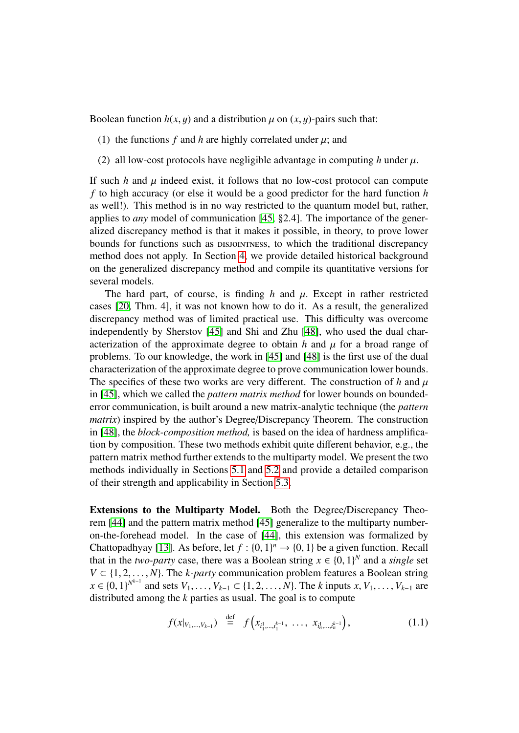Boolean function  $h(x, y)$  and a distribution  $\mu$  on  $(x, y)$ -pairs such that:

- (1) the functions  $f$  and  $h$  are highly correlated under  $\mu$ ; and
- (2) all low-cost protocols have negligible advantage in computing  $h$  under  $\mu$ .

If such  $h$  and  $\mu$  indeed exist, it follows that no low-cost protocol can compute *f* to high accuracy (or else it would be a good predictor for the hard function *h* as well!). This method is in no way restricted to the quantum model but, rather, applies to *any* model of communication [\[45,](#page-33-6) §2.4]. The importance of the generalized discrepancy method is that it makes it possible, in theory, to prove lower bounds for functions such as DISJOINTNESS, to which the traditional discrepancy method does not apply. In Section [4,](#page-12-0) we provide detailed historical background on the generalized discrepancy method and compile its quantitative versions for several models.

The hard part, of course, is finding  $h$  and  $\mu$ . Except in rather restricted cases [\[20,](#page-32-8) Thm. 4], it was not known how to do it. As a result, the generalized discrepancy method was of limited practical use. This difficulty was overcome independently by Sherstov [\[45\]](#page-33-6) and Shi and Zhu [\[48\]](#page-34-3), who used the dual characterization of the approximate degree to obtain  $h$  and  $\mu$  for a broad range of problems. To our knowledge, the work in [\[45\]](#page-33-6) and [\[48\]](#page-34-3) is the first use of the dual characterization of the approximate degree to prove communication lower bounds. The specifics of these two works are very different. The construction of  $h$  and  $\mu$ in [\[45\]](#page-33-6), which we called the *pattern matrix method* for lower bounds on boundederror communication, is built around a new matrix-analytic technique (the *pattern matrix*) inspired by the author's Degree/Discrepancy Theorem. The construction in [\[48\]](#page-34-3), the *block-composition method,* is based on the idea of hardness amplification by composition. These two methods exhibit quite different behavior, e.g., the pattern matrix method further extends to the multiparty model. We present the two methods individually in Sections [5.1](#page-16-0) and [5.2](#page-21-0) and provide a detailed comparison of their strength and applicability in Section [5.3.](#page-24-0)

Extensions to the Multiparty Model. Both the Degree/Discrepancy Theorem [\[44\]](#page-33-5) and the pattern matrix method [\[45\]](#page-33-6) generalize to the multiparty numberon-the-forehead model. In the case of [\[44\]](#page-33-5), this extension was formalized by Chattopadhyay [\[13\]](#page-31-6). As before, let  $f : \{0, 1\}^n \to \{0, 1\}$  be a given function. Recall that in the *two-party* case, there was a Boolean string  $x \in \{0, 1\}^N$  and a single set that in the *two-party* case, there was a Boolean string  $x \in \{0, 1\}^N$  and a *single* set<br> $V \subset \{1, 2, ..., N\}$ . The *k-party* communication problem features a Boolean string  $V \subset \{1, 2, \ldots, N\}$ . The *k-party* communication problem features a Boolean string  $x \in \{0, 1\}^{N^{k-1}}$  and sets  $V_1, \ldots, V_{k-1} \subset \{1, 2, \ldots, N\}$ . The *k* inputs  $x, V_1, \ldots, V_{k-1}$  are distributed among the *k* parties as usual. The goal is to compute distributed among the *k* parties as usual. The goal is to compute

<span id="page-3-0"></span>
$$
f(x|_{V_1,\ldots,V_{k-1}}) \stackrel{\text{def}}{=} f(x_{i_1^1,\ldots,i_1^{k-1}},\ \ldots,\ x_{i_n^1,\ldots,i_n^{k-1}}), \qquad (1.1)
$$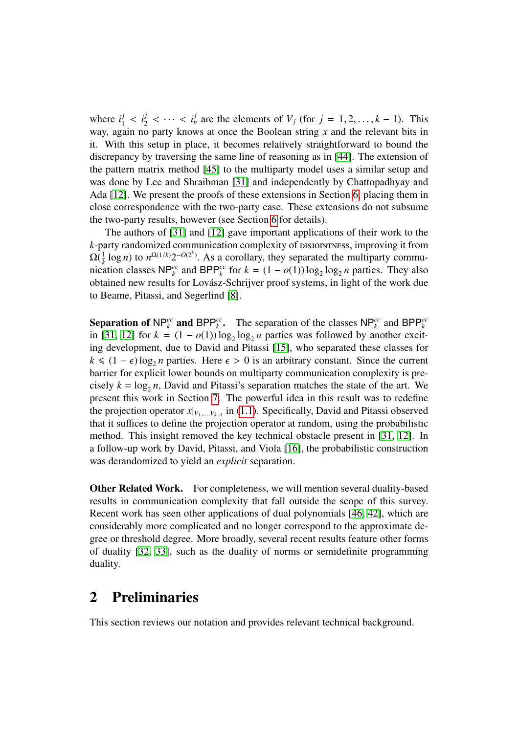where  $i_1^j < i_2^j < \cdots < i_n^j$  are the elements of  $V_j$  (for  $j = 1, 2, \ldots, k - 1$ ). This way, again no party knows at once the Boolean string *x* and the relevant bits in it. With this setup in place, it becomes relatively straightforward to bound the discrepancy by traversing the same line of reasoning as in [\[44\]](#page-33-5). The extension of the pattern matrix method [\[45\]](#page-33-6) to the multiparty model uses a similar setup and was done by Lee and Shraibman [\[31\]](#page-33-7) and independently by Chattopadhyay and Ada [\[12\]](#page-31-7). We present the proofs of these extensions in Section [6,](#page-25-0) placing them in close correspondence with the two-party case. These extensions do not subsume the two-party results, however (see Section [6](#page-25-0) for details).

The authors of [\[31\]](#page-33-7) and [\[12\]](#page-31-7) gave important applications of their work to the *k*-party randomized communication complexity of  $DSJONTNESS$ , improving it from  $\Omega(\frac{1}{k}$  $\Omega(\frac{1}{k}\log n)$  to  $n^{\Omega(1/k)}2^{-O(2^k)}$ . As a corollary, they separated the multiparty communication classes NP<sup>c</sup> and BPP<sup>c</sup> for  $k = (1 - o(1)) \log_2 \log_2 n$  parties. They also obtained new results for Lovász-Schrijver proof systems, in light of the work due to Beame, Pitassi, and Segerlind [\[8\]](#page-31-9).

Separation of  $NP_k^{cc}$  and  $BPP_k^{cc}$ . The separation of the classes  $NP_k^{cc}$  and  $BPP_k^{cc}$ in [\[31,](#page-33-7) [12\]](#page-31-7) for  $k = (1 - o(1)) \log_2 \log_2 n$  parties was followed by another exciting development, due to David and Pitassi [\[15\]](#page-31-8), who separated these classes for  $k \leq (1 - \epsilon) \log_2 n$  parties. Here  $\epsilon > 0$  is an arbitrary constant. Since the current<br>barrier for explicit lower bounds on multiparty communication complexity is prebarrier for explicit lower bounds on multiparty communication complexity is precisely  $k = \log_2 n$ , David and Pitassi's separation matches the state of the art. We<br>present this work in Section 7. The powerful idea in this result was to redefine present this work in Section [7.](#page-28-0) The powerful idea in this result was to redefine the projection operator  $x|_{V_1,\dots,V_{k-1}}$  in [\(1.1\)](#page-3-0). Specifically, David and Pitassi observed<br>that it and each to define the projection operator of random, using the probabilistic that it suffices to define the projection operator at random, using the probabilistic method. This insight removed the key technical obstacle present in [\[31,](#page-33-7) [12\]](#page-31-7). In a follow-up work by David, Pitassi, and Viola [\[16\]](#page-32-9), the probabilistic construction was derandomized to yield an *explicit* separation.

Other Related Work. For completeness, we will mention several duality-based results in communication complexity that fall outside the scope of this survey. Recent work has seen other applications of dual polynomials [\[46,](#page-34-4) [42\]](#page-33-8), which are considerably more complicated and no longer correspond to the approximate degree or threshold degree. More broadly, several recent results feature other forms of duality [\[32,](#page-33-9) [33\]](#page-33-10), such as the duality of norms or semidefinite programming duality.

### 2 Preliminaries

This section reviews our notation and provides relevant technical background.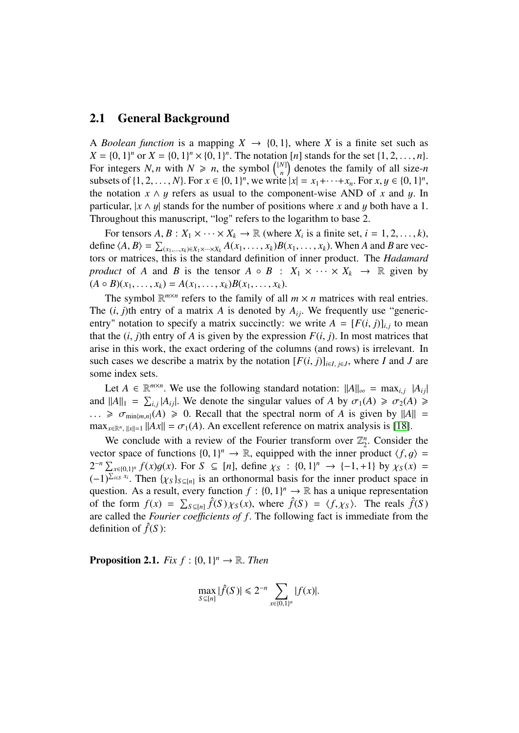#### 2.1 General Background

A *Boolean function* is a mapping  $X \to \{0, 1\}$ , where X is a finite set such as  $X = \{0, 1\}^n$  or  $X = \{0, 1\}^n \times \{0, 1\}^n$ . The notation [*n*] stands for the set  $\{1, 2, ..., n\}$ .<br>For integers *N n* with  $N > n$  the symbol  $\binom{[N]}{N}$  denotes the family of all size-*n* For integers *N*, *n* with  $N \ge n$ , the symbol  $\binom{[N]}{n}$ <br>subsets of {1 2 *N*} For  $x \in \{0, 1\}^n$  we write  $\binom{N}{n}$  denotes the family of all size-*n* subsets of  $\{1, 2, ..., N\}$ . For  $x \in \{0, 1\}^n$ , we write  $|x| = x_1 + \cdots + x_n$ . For  $x, y \in \{0, 1\}^n$ <br>the notation  $x \wedge u$  refers as usual to the component-wise AND of x and u. In the notation  $x \wedge y$  refers as usual to the component-wise AND of *x* and *y*. In particular  $|x \wedge y|$  stands for the number of positions where *x* and *y* both have a 1 particular,  $|x \wedge y|$  stands for the number of positions where *x* and *y* both have a 1. Throughout this manuscript, "log" refers to the logarithm to base 2.

For tensors  $A, B: X_1 \times \cdots \times X_k \to \mathbb{R}$  (where  $X_i$  is a finite set,  $i = 1, 2, \ldots, k$ ),<br>re  $(A, B) = \sum_{x \in A} A(x, y) B(x, y)$ . When A and B are yecdefine  $\langle A, B \rangle = \sum_{(x_1, \dots, x_k) \in X_1 \times \dots \times X_k} A(x_1, \dots, x_k) B(x_1, \dots, x_k)$ . When *A* and *B* are vectors or matrices this is the standard definition of inner product. The *Hadamard* tors or matrices, this is the standard definition of inner product. The *Hadamard product* of *A* and *B* is the tensor  $A \circ B : X_1 \times \cdots \times X_k \to \mathbb{R}$  given by  $(A \circ B)(x_1, \ldots, x_k) = A(x_1, \ldots, x_k)B(x_1, \ldots, x_k).$ 

The symbol  $\mathbb{R}^{m \times n}$  refers to the family of all  $m \times n$  matrices with real entries. The  $(i, j)$ th entry of a matrix *A* is denoted by  $A_{ij}$ . We frequently use "genericentry" notation to specify a matrix succinctly: we write  $A = [F(i, j)]_{i,j}$  to mean that the  $(i, j)$ <sup>th</sup> entry of A is given by the expression  $F(i, j)$ . In most matrices that that the  $(i, j)$ th entry of *A* is given by the expression  $F(i, j)$ . In most matrices that arise in this work, the exact ordering of the columns (and rows) is irrelevant. In such cases we describe a matrix by the notation  $[F(i, j)]_{i \in I, j \in J}$ , where *I* and *J* are some index sets some index sets.

Let  $A \in \mathbb{R}^{m \times n}$ . We use the following standard notation:  $||A||_{\infty} = \max_{i,j} |A_{ij}|$ <br> $||A||_{\infty} = \sum_{i} |A_{i,j}|$  We denote the singular values of A by  $\sigma_i(A) > \sigma_i(A)$ and  $||A||_1 = \sum_{i,j} |A_{ij}|$ . We denote the singular values of *A* by  $\sigma_1(A) \ge \sigma_2(A) \ge$ <br>  $\Rightarrow \sigma_1 \le \sigma_2(A) \ge 0$ . Recall that the spectral norm of *A* is given by  $||A|| =$  $\ldots \geq \sigma_{\min\{m,n\}}(A) \geq 0$ . Recall that the spectral norm of *A* is given by  $||A|| =$  $\max_{x \in \mathbb{R}^n, \|x\|=1} \|Ax\| = \sigma_1(A)$ . An excellent reference on matrix analysis is [\[18\]](#page-32-10).

We conclude with a review of the Fourier transform over  $\mathbb{Z}_2^n$  $n_2^n$ . Consider the<br>roduct  $\langle f, g \rangle =$ vector space of functions  $\{0, 1\}^n \to \mathbb{R}$ , equipped with the inner product  $\langle f, g \rangle =$ <br> $2^{-n} \sum_{x \in \mathbb{R}^n} f(x)g(x)$ . For  $S \subseteq [n]$ , define  $y \in [0, 1]^n \to [-1, +1]$  by  $y \in (x) =$  $2^{-n} \sum_{x \in \{0,1\}^n} f(x)g(x)$ . For  $S \subseteq [n]$ , define  $\chi_S : \{0,1\}^n \to \{-1,+1\}$  by  $\chi_S(x) = (-1)^{\sum_{i \in S} x_i}$ . Then  $\chi_S$  be an orthonormal basis for the inner product space in  $(-1)^{\sum_{i\in S} x_i}$ . Then  $\{\chi_S\}_{S\subseteq[n]}$  is an orthonormal basis for the inner product space in question. As a result every function  $f: \{0, 1\}^n \to \mathbb{R}$  has a unique representation question. As a result, every function  $f : \{0, 1\}^n \to \mathbb{R}$  has a unique representation<br>of the form  $f(x) = \sum_{x \in \mathcal{F}} \hat{f}(S) \chi_2(x)$ , where  $\hat{f}(S) = \langle f, \chi_2 \rangle$ . The reals  $\hat{f}(S)$ of the form  $f(x) = \sum_{S \subseteq [n]} \hat{f}(S) \chi_S(x)$ , where  $\hat{f}(S) = \langle f, \chi_S \rangle$ . The reals  $\hat{f}(S)$ <br>are called the *Fourier coefficients* of f. The following fact is immediate from the are called the *Fourier coefficients of f*. The following fact is immediate from the definition of  $\hat{f}(S)$ :

<span id="page-5-0"></span>**Proposition 2.1.** *Fix*  $f : \{0, 1\}^n \to \mathbb{R}$ *. Then* 

$$
\max_{S \subseteq [n]} |\hat{f}(S)| \leq 2^{-n} \sum_{x \in \{0,1\}^n} |f(x)|.
$$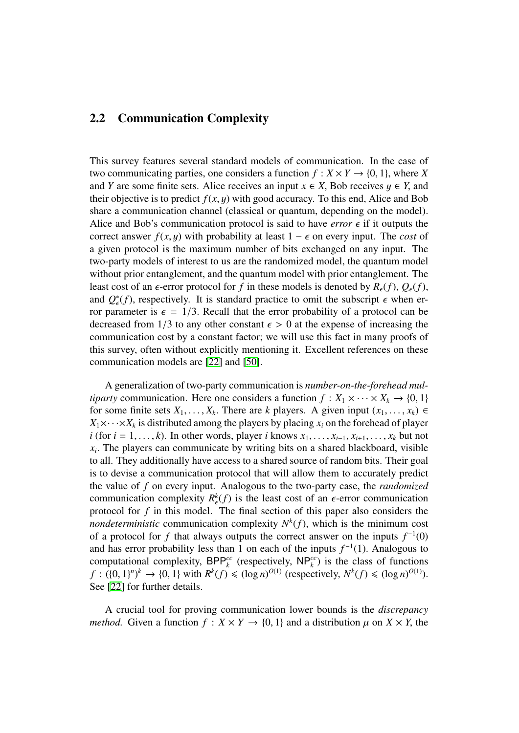### <span id="page-6-0"></span>2.2 Communication Complexity

This survey features several standard models of communication. In the case of two communicating parties, one considers a function  $f: X \times Y \to \{0, 1\}$ , where *X* and *Y* are some finite sets. Alice receives an input  $x \in X$ , Bob receives  $y \in Y$ , and their objective is to predict  $f(x, y)$  with good accuracy. To this end, Alice and Bob share a communication channel (classical or quantum, depending on the model). Alice and Bob's communication protocol is said to have *error*  $\epsilon$  if it outputs the correct answer  $f(x, y)$  with probability at least  $1 - \epsilon$  on every input. The *cost* of a given protocol is the maximum number of bits exchanged on any input. The two-party models of interest to us are the randomized model, the quantum model without prior entanglement, and the quantum model with prior entanglement. The least cost of an  $\epsilon$ -error protocol for f in these models is denoted by  $R_{\epsilon}(f)$ ,  $Q_{\epsilon}(f)$ , and  $Q_{\epsilon}^{*}(f)$ , respectively. It is standard practice to omit the subscript  $\epsilon$  when er-<br>ror parameter is  $\epsilon = 1/3$ . Recall that the error probability of a protocol can be ror parameter is  $\epsilon = 1/3$ . Recall that the error probability of a protocol can be decreased from 1/3 to any other constant  $\epsilon > 0$  at the expense of increasing the decreased from 1/3 to any other constant  $\epsilon > 0$  at the expense of increasing the communication cost by a constant factor; we will use this fact in many proofs of this survey, often without explicitly mentioning it. Excellent references on these communication models are [\[22\]](#page-32-11) and [\[50\]](#page-34-5).

A generalization of two-party communication is *number-on-the-forehead multiparty* communication. Here one considers a function  $f: X_1 \times \cdots \times X_k \to \{0, 1\}$ for some finite sets  $X_1, \ldots, X_k$ . There are *k* players. A given input  $(x_1, \ldots, x_k) \in$ <br>*X*,  $\times \ldots \times X$ , is distributed among the players by placing *x*, on the forehead of player  $X_1 \times \cdots \times X_k$  is distributed among the players by placing  $x_i$  on the forehead of player *i* (for  $i = 1, \ldots, k$ ). In other words, player *i* knows  $x_1, \ldots, x_{i-1}, x_{i+1}, \ldots, x_k$  but not  $x_i$ . The players can communicate by writing bits on a shared blackboard, visible to all They additionally have access to a shared source of random bits. Their goal to all. They additionally have access to a shared source of random bits. Their goal is to devise a communication protocol that will allow them to accurately predict the value of *f* on every input. Analogous to the two-party case, the *randomized* communication complexity  $R_{\epsilon}^{k}(f)$  is the least cost of an  $\epsilon$ -error communication<br>protocol for f in this model. The final section of this paper also considers the protocol for *f* in this model. The final section of this paper also considers the *nondeterministic* communication complexity  $N^k(f)$ , which is the minimum cost of a protocol for f that always outputs the correct answer on the inputs  $f^{-1}(0)$ of a protocol for *f* that always outputs the correct answer on the inputs  $f^{-1}(0)$ and has error probability less than 1 on each of the inputs  $f^{-1}(1)$ . Analogous to computational complexity.  $BPP^{cc}$  (respectively,  $NPP^{cc}$ ) is the class of functions computational complexity,  $BPP_k^{cc}$  (respectively,  $NP_k^{cc}$ ) is the class of functions  $f: (\{0, 1\}^n)^k \to \{0, 1\}$  with  $R^k(f) \le (\log n)^{O(1)}$  (respectively,  $N^k(f) \le (\log n)^{O(1)}$ ).<br>See [22] for further details See [\[22\]](#page-32-11) for further details.

A crucial tool for proving communication lower bounds is the *discrepancy method.* Given a function  $f: X \times Y \rightarrow \{0, 1\}$  and a distribution  $\mu$  on  $X \times Y$ , the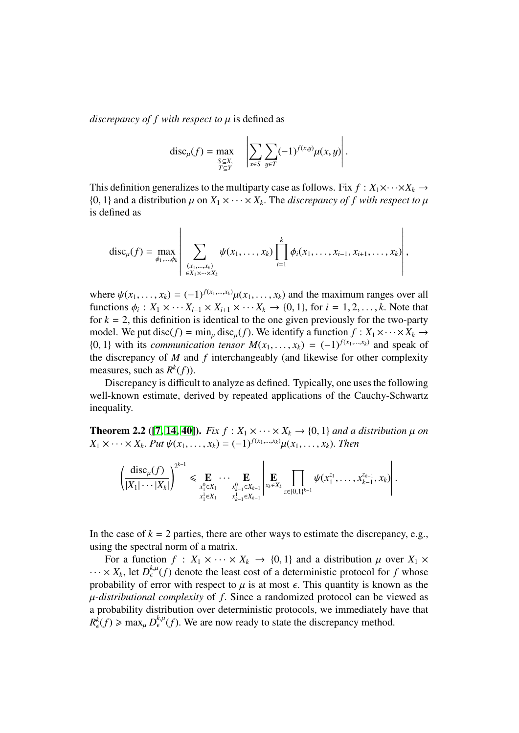*discrepancy of f with respect to*  $\mu$  is defined as

$$
\operatorname{disc}_{\mu}(f) = \max_{\substack{S \subseteq X, \\ T \subseteq Y}} \quad \left| \sum_{x \in S} \sum_{y \in T} (-1)^{f(x,y)} \mu(x,y) \right|.
$$

This definition generalizes to the multiparty case as follows. Fix  $f: X_1 \times \cdots \times X_k \to$ {0, 1} and a distribution  $\mu$  on  $X_1 \times \cdots \times X_k$ . The *discrepancy of f with respect to*  $\mu$  is defined as is defined as

$$
\text{disc}_{\mu}(f) = \max_{\phi_1, ..., \phi_k} \left| \sum_{\substack{(x_1, ..., x_k) \\ \in X_1 \times ... \times X_k}} \psi(x_1, ..., x_k) \prod_{i=1}^k \phi_i(x_1, ..., x_{i-1}, x_{i+1}, ..., x_k) \right|,
$$

where  $\psi(x_1, \ldots, x_k) = (-1)^{f(x_1, \ldots, x_k)} \mu(x_1, \ldots, x_k)$  and the maximum ranges over all functions  $\phi_i : X_1 \times \cdots X_{i-1} \times X_{i+1} \times \cdots X_k \rightarrow \{0, 1\}$ , for  $i = 1, 2, \ldots, k$ . Note that for  $k - 2$  this definition is identical to the one given previously for the two-party for  $k = 2$ , this definition is identical to the one given previously for the two-party model. We put disc( $f$ ) = min<sub>µ</sub> disc<sub>µ</sub>( $f$ ). We identify a function  $f: X_1 \times \cdots \times X_k \rightarrow$ {0, 1} with its *communication tensor*  $M(x_1, \ldots, x_k) = (-1)^{f(x_1, \ldots, x_k)}$  and speak of the discrepancy of M and f interchangeably (and likewise for other complexity the discrepancy of *M* and *f* interchangeably (and likewise for other complexity measures, such as  $R^k(f)$ ).

Discrepancy is difficult to analyze as defined. Typically, one uses the following well-known estimate, derived by repeated applications of the Cauchy-Schwartz inequality.

<span id="page-7-0"></span>**Theorem 2.2** ([\[7,](#page-31-10) [14,](#page-31-11) [40\]](#page-33-11)). *Fix*  $f : X_1 \times \cdots \times X_k \rightarrow \{0, 1\}$  *and a distribution*  $\mu$  *on*  $X_1 \times \cdots \times X_k$ . *Put*  $\psi(x_1, \ldots, x_k) = (-1)^{f(x_1, \ldots, x_k)} \mu(x_1, \ldots, x_k)$ . *Then* 

$$
\left(\frac{\mathrm{disc}_{\mu}(f)}{|X_{1}|\cdots|X_{k}|}\right)^{2^{k-1}} \leq \mathop{\mathbf{E}}_{\substack{x_{1}^{0}\in X_{1}\\x_{1}^{1}\in X_{1}}}\cdots \mathop{\mathbf{E}}_{\substack{x_{k-1}^{0}\in X_{k-1}\\x_{k-1}^{1}\in X_{k-1}}}\left|\mathop{\mathbf{E}}_{x_{k}\in X_{k}}\prod_{z\in\{0,1\}^{k-1}}\psi(x_{1}^{z_{1}},\ldots,x_{k-1}^{z_{k-1}},x_{k})\right|.
$$

In the case of  $k = 2$  parties, there are other ways to estimate the discrepancy, e.g., using the spectral norm of a matrix.

<span id="page-7-1"></span>For a function  $f: X_1 \times \cdots \times X_k \to \{0, 1\}$  and a distribution  $\mu$  over  $X_1 \times$  $\cdots \times X_k$ , let  $D_{\epsilon}^{k,\mu}(f)$  denote the least cost of a deterministic protocol for *f* whose probability of error with respect to  $\mu$  is at most  $\epsilon$ . This quantity is known as the µ*-distributional complexity* of *<sup>f</sup>*. Since a randomized protocol can be viewed as a probability distribution over deterministic protocols, we immediately have that  $R_{\epsilon}^{k}(f) \ge \max_{\mu} D_{\epsilon}^{k,\mu}(f)$ . We are now ready to state the discrepancy method.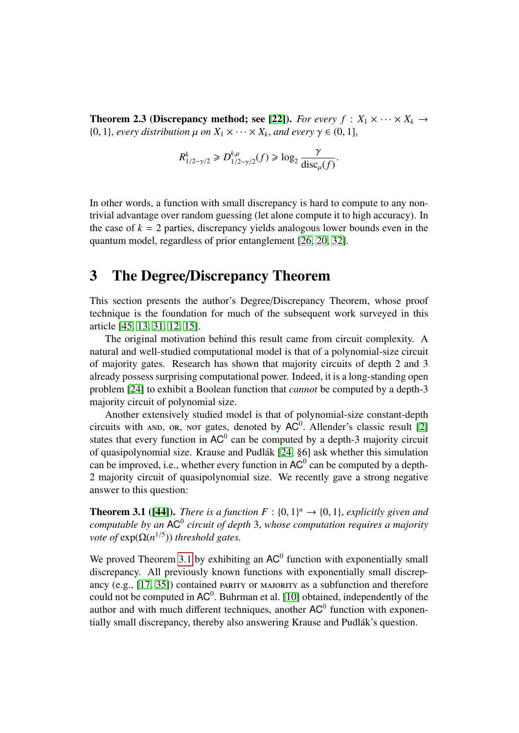**Theorem 2.3 (Discrepancy method; see [\[22\]](#page-32-11)).** *For every f* :  $X_1 \times \cdots \times X_k \rightarrow$  $\{0, 1\}$ , *every distribution*  $\mu$  *on*  $X_1 \times \cdots \times X_k$ , *and every*  $\gamma \in (0, 1]$ ,

$$
R_{1/2-\gamma/2}^k \ge D_{1/2-\gamma/2}^{k,\mu}(f) \ge \log_2 \frac{\gamma}{\text{disc}_{\mu}(f)}.
$$

In other words, a function with small discrepancy is hard to compute to any nontrivial advantage over random guessing (let alone compute it to high accuracy). In the case of  $k = 2$  parties, discrepancy yields analogous lower bounds even in the quantum model, regardless of prior entanglement [\[26,](#page-32-12) [20,](#page-32-8) [32\]](#page-33-9).

## <span id="page-8-0"></span>3 The Degree/Discrepancy Theorem

This section presents the author's Degree/Discrepancy Theorem, whose proof technique is the foundation for much of the subsequent work surveyed in this article [\[45,](#page-33-6) [13,](#page-31-6) [31,](#page-33-7) [12,](#page-31-7) [15\]](#page-31-8).

The original motivation behind this result came from circuit complexity. A natural and well-studied computational model is that of a polynomial-size circuit of majority gates. Research has shown that majority circuits of depth 2 and 3 already possess surprising computational power. Indeed, it is a long-standing open problem [\[24\]](#page-32-0) to exhibit a Boolean function that *cannot* be computed by a depth-3 majority circuit of polynomial size.

Another extensively studied model is that of polynomial-size constant-depth circuits with AND, OR, NOT gates, denoted by  $AC^0$ . Allender's classic result [2] circuits with and, or, nor gates, denoted by  $AC^0$ . Allender's classic result [\[2\]](#page-31-12) states that every function in  $AC^0$  can be computed by a depth-3 majority circuit of quasipolynomial size. Krause and Pudlák [\[24,](#page-32-0) §6] ask whether this simulation can be improved, i.e., whether every function in  $AC^0$  can be computed by a depth-2 majority circuit of quasipolynomial size. We recently gave a strong negative answer to this question:

<span id="page-8-1"></span>**Theorem 3.1 ([\[44\]](#page-33-5)).** *There is a function*  $F : \{0, 1\}^n \to \{0, 1\}$ , *explicitly given and* computable by an  $AC^0$  circuit of denth 3, whose computation requires a majority computable by an AC<sup>0</sup> circuit of depth 3, whose computation requires a majority<br>vote of  $exp(O(n^{1/5}))$  threshold gates *vote of*  $exp(\Omega(n^{1/5}))$  *threshold gates.* 

We proved Theorem [3.1](#page-8-1) by exhibiting an  $AC^0$  function with exponentially small discrepancy. All previously known functions with exponentially small discrepancy (e.g.,  $[17, 35]$  $[17, 35]$ ) contained PARITY or MAJORITY as a subfunction and therefore could not be computed in  $AC^0$ . Buhrman et al. [\[10\]](#page-31-5) obtained, independently of the<br>author and with much different techniques, another  $AC^0$  function with exponenauthor and with much different techniques, another  $AC<sup>0</sup>$  function with exponentially small discrepancy, thereby also answering Krause and Pudlák's question.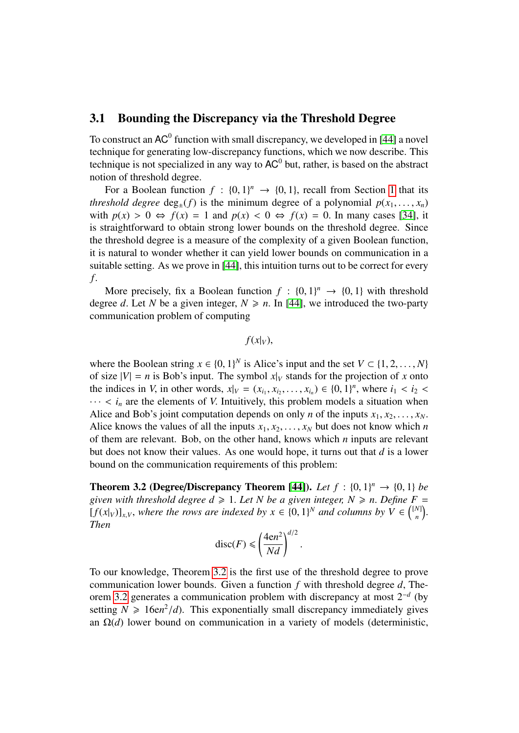#### 3.1 Bounding the Discrepancy via the Threshold Degree

To construct an  $AC^0$  function with small discrepancy, we developed in [\[44\]](#page-33-5) a novel technique for generating low-discrepancy functions, which we now describe. This technique is not specialized in any way to  $AC^0$  but, rather, is based on the abstract notion of threshold degree.

For a Boolean function  $f : \{0, 1\}^n \to \{0, 1\}$  $f : \{0, 1\}^n \to \{0, 1\}$  $f : \{0, 1\}^n \to \{0, 1\}$ , recall from Section 1 that its<br>called degree deg (f) is the minimum degree of a polynomial  $p(x, y)$ *threshold degree* deg<sub><sup>+</sub>(*f*) is the minimum degree of a polynomial  $p(x_1, \ldots, x_n)$ </sub></sup> with  $p(x) > 0 \Leftrightarrow f(x) = 1$  and  $p(x) < 0 \Leftrightarrow f(x) = 0$ . In many cases [\[34\]](#page-33-0), it is straightforward to obtain strong lower bounds on the threshold degree. Since the threshold degree is a measure of the complexity of a given Boolean function, it is natural to wonder whether it can yield lower bounds on communication in a suitable setting. As we prove in [\[44\]](#page-33-5), this intuition turns out to be correct for every *f*.

More precisely, fix a Boolean function  $f : \{0, 1\}^n \to \{0, 1\}$  with threshold ree d I et N be a given integer  $N > n$  In [441] we introduced the two-party degree *d*. Let *N* be a given integer,  $N \ge n$ . In [\[44\]](#page-33-5), we introduced the two-party communication problem of computing

 $f(x|_V)$ ,

where the Boolean string  $x \in \{0, 1\}^N$  is Alice's input and the set  $V \subset \{1, 2, ..., N\}$ <br>of size  $|V| = n$  is Bob's input. The symbol  $x|_V$  stands for the projection of x onto of size  $|V| = n$  is Bob's input. The symbol  $x|_V$  stands for the projection of *x* onto the indices in *V*, in other words,  $x|_V = (x_{i_1}, x_{i_2}, \dots, x_{i_n}) \in \{0, 1\}^n$ , where  $i_1 < i_2 < \dots < i_n$  are the elements of *V* Intuitively, this problem models a situation when  $\cdots$  <  $i_n$  are the elements of *V*. Intuitively, this problem models a situation when Alice and Bob's joint computation depends on only *n* of the inputs  $x_1, x_2, \ldots, x_N$ . Alice knows the values of all the inputs  $x_1, x_2, \ldots, x_N$  but does not know which *n* of them are relevant. Bob, on the other hand, knows which *n* inputs are relevant but does not know their values. As one would hope, it turns out that *d* is a lower bound on the communication requirements of this problem:

<span id="page-9-0"></span>**Theorem 3.2 (Degree/Discrepancy Theorem [\[44\]](#page-33-5)).** *Let*  $f : \{0, 1\}^n \rightarrow \{0, 1\}$  *be given with threshold degree*  $d > 1$ , *Let N be g* given integer  $N > n$ . Define  $F =$ *given with threshold degree d*  $\geq$  1. *Let N be a given integer, N*  $\geq$  *n. Define F* =  $[f(x|_V)]_{x,V}$ , where the rows are indexed by  $x \in \{0,1\}^N$  and columns by  $V \in \binom{[N]}{n}$ *n Then*

$$
\operatorname{disc}(F) \le \left(\frac{4\mathrm{e}n^2}{Nd}\right)^{d/2}
$$

To our knowledge, Theorem [3.2](#page-9-0) is the first use of the threshold degree to prove communication lower bounds. Given a function *<sup>f</sup>* with threshold degree *<sup>d</sup>*, Theorem [3.2](#page-9-0) generates a communication problem with discrepancy at most 2<sup>−</sup>*<sup>d</sup>* (by setting  $N \ge 16$ en<sup>2</sup>/*d*). This exponentially small discrepancy immediately gives an  $O(d)$  lower bound on communication in a variety of models (deterministic an Ω(*d*) lower bound on communication in a variety of models (deterministic,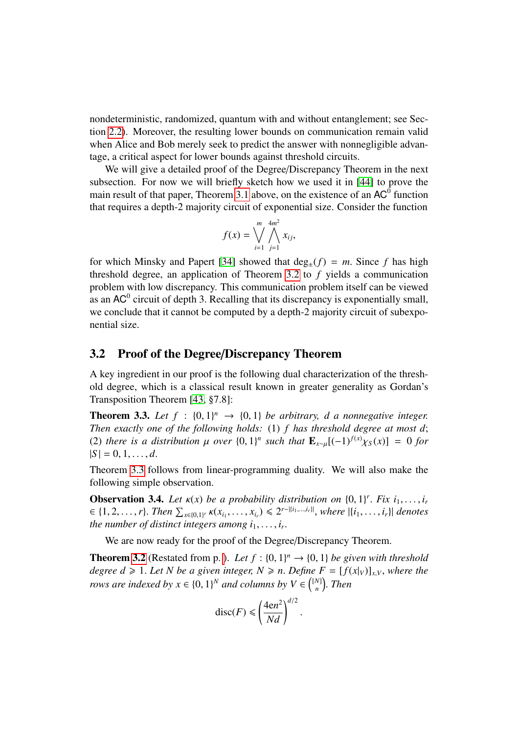nondeterministic, randomized, quantum with and without entanglement; see Section [2.2\)](#page-6-0). Moreover, the resulting lower bounds on communication remain valid when Alice and Bob merely seek to predict the answer with nonnegligible advantage, a critical aspect for lower bounds against threshold circuits.

We will give a detailed proof of the Degree/Discrepancy Theorem in the next subsection. For now we will briefly sketch how we used it in [\[44\]](#page-33-5) to prove the main result of that paper, Theorem [3.1](#page-8-1) above, on the existence of an  $AC^0$  function that requires a depth-2 majority circuit of exponential size. Consider the function

$$
f(x) = \bigvee_{i=1}^{m} \bigwedge_{j=1}^{4m^2} x_{ij},
$$

for which Minsky and Papert [\[34\]](#page-33-0) showed that  $deg_{+}(f) = m$ . Since f has high threshold degree, an application of Theorem [3.2](#page-9-0) to *f* yields a communication problem with low discrepancy. This communication problem itself can be viewed as an  $AC^0$  circuit of depth 3. Recalling that its discrepancy is exponentially small,<br>we conclude that it cannot be computed by a depth-2 majority circuit of subexpowe conclude that it cannot be computed by a depth-2 majority circuit of subexponential size.

#### 3.2 Proof of the Degree/Discrepancy Theorem

A key ingredient in our proof is the following dual characterization of the threshold degree, which is a classical result known in greater generality as Gordan's Transposition Theorem [\[43,](#page-33-13) §7.8]:

<span id="page-10-0"></span>**Theorem 3.3.** Let  $f : \{0, 1\}^n \to \{0, 1\}$  be arbitrary, d a nonnegative integer.<br>Then exactly one of the following holds: (1) f has threshold degree at most d: *Then exactly one of the following holds:* (1) *f has threshold degree at most d*; (2) *there is a distribution*  $\mu$  *over*  $\{0, 1\}^n$  *such that*  $\mathbf{E}_{x \sim \mu} [(-1)^{f(x)} \chi_S(x)] = 0$  *for*  $|S| = 0.1$  $|S| = 0, 1, \ldots, d$ .

Theorem [3.3](#page-10-0) follows from linear-programming duality. We will also make the following simple observation.

<span id="page-10-1"></span>**Observation 3.4.** Let  $\kappa(x)$  be a probability distribution on  $\{0, 1\}^r$ . Fix  $i_1, \ldots, i_r$ <br> $\in \{1, 2, \ldots, r\}$ . Then  $\Sigma_{\text{max}}$ ,  $\kappa(x, \ldots, x_r) \leq 2^{r - |\{i_1, \ldots, i_r\}|}$ , where  $|\{i_r\} - i_r|$  denotes  $\in \{1, 2, \ldots, r\}$ . Then  $\sum_{x \in \{0,1\}^r} \kappa(x_{i_1}, \ldots, x_{i_r}) \leq 2^{r - |i_1, \ldots, i_r|}$ , where  $|\{i_1, \ldots, i_r\}|$  denotes *the number of distinct integers among*  $i_1, \ldots, i_r$ *.* 

We are now ready for the proof of the Degree/Discrepancy Theorem.

**Theorem [3.2](#page-9-0)** (Restated from p.). *Let*  $f : \{0, 1\}^n \rightarrow \{0, 1\}$  *be given with threshold* degree  $d > 1$ , *Let* N be a given integer  $N > n$ . Define  $F = [f(x_0)]$  where the *degree d*  $\geq 1$ *. Let N be a given integer, N*  $\geq n$ *. Define F =*  $[f(x|_V)]_{x,V}$ *, where the rows are indexed by*  $x \in \{0, 1\}^N$  *and columns by*  $V \in \binom{[N]}{n}$ *n* . *Then*

$$
\operatorname{disc}(F) \le \left(\frac{4\mathrm{e}n^2}{Nd}\right)^{d/2}.
$$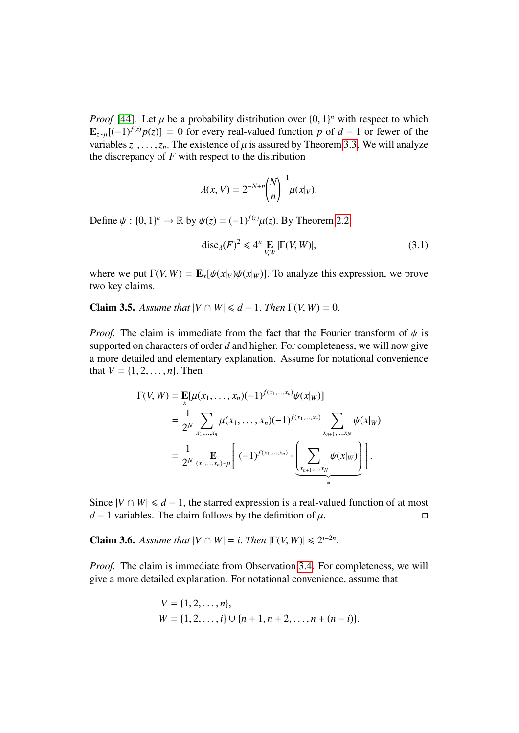*Proof* [\[44\]](#page-33-5). Let  $\mu$  be a probability distribution over  $\{0, 1\}^n$  with respect to which **F**  $[(-1)^{f(z)}p(z)] = 0$  for every real-valued function *n* of  $d = 1$  or fewer of the  $\mathbf{E}_{z \sim \mu}$ [(−1)<sup>*f*(*z*)</sup>*p*(*z*)] = 0 for every real-valued function *p* of *d* − 1 or fewer of the variables  $z_1, \ldots, z_n$ . The existence of  $\mu$  is assured by Theorem [3.3.](#page-10-0) We will analyze the discrepancy of *F* with respect to the distribution

$$
\lambda(x, V) = 2^{-N+n} {N \choose n}^{-1} \mu(x|_V).
$$

Define  $\psi : \{0, 1\}^n \to \mathbb{R}$  by  $\psi(z) = (-1)^{f(z)} \mu(z)$ . By Theorem [2.2,](#page-7-0)

<span id="page-11-2"></span>
$$
\operatorname{disc}_{\lambda}(F)^2 \leq 4^n \mathop{\mathbf{E}}_{V,W} |\Gamma(V,W)|, \tag{3.1}
$$

where we put  $\Gamma(V, W) = \mathbf{E}_x[\psi(x|_V)\psi(x|_W)]$ . To analyze this expression, we prove two key claims.

<span id="page-11-0"></span>**Claim 3.5.** *Assume that*  $|V \cap W| \le d - 1$ . *Then*  $\Gamma(V, W) = 0$ .

*Proof.* The claim is immediate from the fact that the Fourier transform of  $\psi$  is supported on characters of order *d* and higher. For completeness, we will now give a more detailed and elementary explanation. Assume for notational convenience that  $V = \{1, 2, ..., n\}$ . Then

$$
\Gamma(V, W) = \mathbf{E}[\mu(x_1, ..., x_n)(-1)^{f(x_1, ..., x_n)}\psi(x|_W)]
$$
  
=  $\frac{1}{2^N} \sum_{x_1, ..., x_n} \mu(x_1, ..., x_n)(-1)^{f(x_1, ..., x_n)} \sum_{x_{n+1}, ..., x_N} \psi(x|_W)$   
=  $\frac{1}{2^N} \sum_{(x_1, ..., x_n) \sim \mu} \left[ (-1)^{f(x_1, ..., x_n)} \cdot \left( \sum_{x_{n+1}, ..., x_N} \psi(x|_W) \right) \right].$ 

Since  $|V \cap W| \le d - 1$ , the starred expression is a real-valued function of at most  $d - 1$  variables. The claim follows by the definition of u. □ *d* − 1 variables. The claim follows by the definition of  $\mu$ .

<span id="page-11-1"></span>**Claim 3.6.** *Assume that*  $|V \cap W| = i$ . *Then*  $|\Gamma(V, W)| \le 2^{i-2n}$ 

*Proof.* The claim is immediate from Observation [3.4.](#page-10-1) For completeness, we will give a more detailed explanation. For notational convenience, assume that

$$
V = \{1, 2, ..., n\},
$$
  
 
$$
W = \{1, 2, ..., i\} \cup \{n + 1, n + 2, ..., n + (n - i)\}.
$$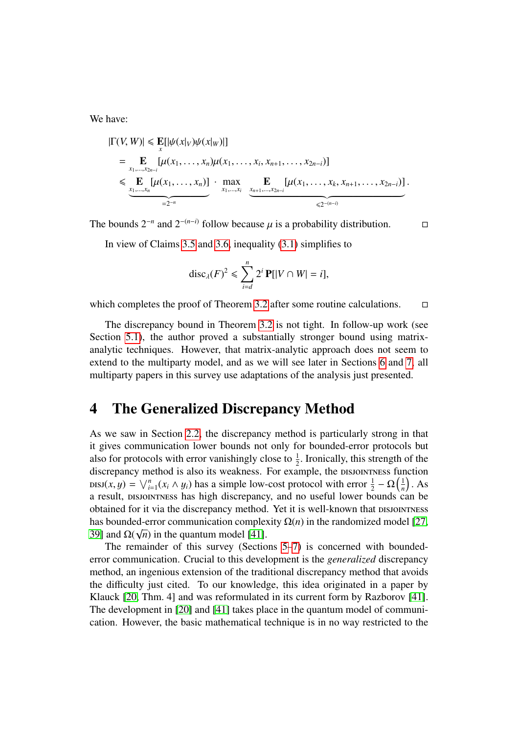We have:

$$
|\Gamma(V, W)| \leq \mathbf{E}[|\psi(x|_V)\psi(x|_W)|]
$$
  
=  $\mathbf{E} \left[\mu(x_1, ..., x_n)\mu(x_1, ..., x_i, x_{n+1}, ..., x_{2n-i})\right]$   
 $\leq \mathbf{E} \left[\mu(x_1, ..., x_n)\right] \cdot \max_{x_1, ..., x_i} \mathbf{E} \left[\mu(x_1, ..., x_k, x_{n+1}, ..., x_{2n-i})\right].$   
=  $2^{-n}$ 

The bounds  $2^{-n}$  and  $2^{-(n-i)}$  follow because  $\mu$  is a probability distribution.  $\Box$ 

In view of Claims [3.5](#page-11-0) and [3.6,](#page-11-1) inequality [\(3.1\)](#page-11-2) simplifies to

$$
\mathrm{disc}_{\lambda}(F)^2 \leqslant \sum_{i=d}^n 2^i \mathbf{P}[|V \cap W| = i],
$$

which completes the proof of Theorem [3.2](#page-9-0) after some routine calculations.  $\Box$ 

The discrepancy bound in Theorem [3.2](#page-9-0) is not tight. In follow-up work (see Section [5.1\)](#page-16-0), the author proved a substantially stronger bound using matrixanalytic techniques. However, that matrix-analytic approach does not seem to extend to the multiparty model, and as we will see later in Sections [6](#page-25-0) and [7,](#page-28-0) all multiparty papers in this survey use adaptations of the analysis just presented.

### <span id="page-12-0"></span>4 The Generalized Discrepancy Method

As we saw in Section [2.2,](#page-6-0) the discrepancy method is particularly strong in that it gives communication lower bounds not only for bounded-error protocols but also for protocols with error vanishingly close to  $\frac{1}{2}$ . Ironically, this strength of the discrepancy method is also its weakness. For example, the property function discrepancy method is also its weakness. For example, the DISJOINTNESS function  $\text{DISJ}(x, y) = \bigvee_{i=1}^{n} (x_i \wedge y_i)$  has a simple low-cost protocol with error  $\frac{1}{2} - \Omega\left(\frac{1}{n}\right)$  $\frac{1}{n}$ . As a result, DISJOINTNESS has high discrepancy, and no useful lower bounds can be obtained for it via the discrepancy method. Yet it is well-known that has bounded-error communication complexity  $\Omega(n)$  in the randomized model [\[27,](#page-32-14) [39\]](#page-33-14) and  $\Omega(\sqrt{n})$  in the quantum model [\[41\]](#page-33-4).

The remainder of this survey (Sections [5–](#page-15-0)[7\)](#page-28-0) is concerned with boundederror communication. Crucial to this development is the *generalized* discrepancy method, an ingenious extension of the traditional discrepancy method that avoids the difficulty just cited. To our knowledge, this idea originated in a paper by Klauck [\[20,](#page-32-8) Thm. 4] and was reformulated in its current form by Razborov [\[41\]](#page-33-4). The development in [\[20\]](#page-32-8) and [\[41\]](#page-33-4) takes place in the quantum model of communication. However, the basic mathematical technique is in no way restricted to the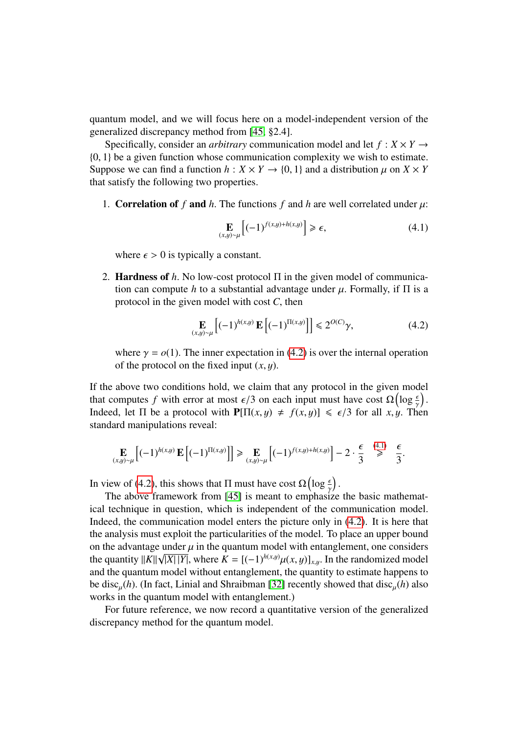quantum model, and we will focus here on a model-independent version of the generalized discrepancy method from [\[45,](#page-33-6) §2.4].

Specifically, consider an *arbitrary* communication model and let  $f : X \times Y \rightarrow$ {0, <sup>1</sup>} be a given function whose communication complexity we wish to estimate. Suppose we can find a function  $h: X \times Y \to \{0, 1\}$  and a distribution  $\mu$  on  $X \times Y$ that satisfy the following two properties.

1. Correlation of *f* and *h*. The functions *f* and *h* are well correlated under  $\mu$ :

<span id="page-13-1"></span>
$$
\mathbf{E}_{(x,y)\sim\mu}\left[(-1)^{f(x,y)+h(x,y)}\right] \geq \epsilon,\tag{4.1}
$$

where  $\epsilon > 0$  is typically a constant.

2. Hardness of *<sup>h</sup>*. No low-cost protocol <sup>Π</sup> in the given model of communication can compute *h* to a substantial advantage under  $\mu$ . Formally, if  $\Pi$  is a protocol in the given model with cost *<sup>C</sup>*, then

<span id="page-13-0"></span>
$$
\mathbf{E}_{(x,y)\sim\mu} \left[ (-1)^{h(x,y)} \mathbf{E} \left[ (-1)^{\Pi(x,y)} \right] \right] \leq 2^{O(C)} \gamma,
$$
\n(4.2)

where  $\gamma = o(1)$ . The inner expectation in [\(4.2\)](#page-13-0) is over the internal operation of the protocol on the fixed input (*x*, y).

If the above two conditions hold, we claim that any protocol in the given model that computes *f* with error at most  $\epsilon/3$  on each input must have cost  $\Omega(\log \frac{\epsilon}{\gamma})$ <br>Indeed let  $\Pi$  be a protocol with  $\text{P}[\Pi(x, y) + f(x, y)] \le \epsilon/3$  for all  $x, y$ . The Indeed, let  $\Pi$  be a protocol with  $\mathbf{P}[\Pi(x,y) \neq f(x,y)] \leq \epsilon/3$  for all  $x, y$ . Then standard manipulations reveal: standard manipulations reveal:

$$
\mathop{\mathbf{E}}_{(x,y)\sim\mu} \left[ (-1)^{h(x,y)} \mathop{\mathbf{E}} \left[ (-1)^{\Pi(x,y)} \right] \right] \ge \mathop{\mathbf{E}}_{(x,y)\sim\mu} \left[ (-1)^{f(x,y)+h(x,y)} \right] - 2 \cdot \frac{\epsilon}{3} \overset{(4.1)}{\ge} \frac{\epsilon}{3}
$$

In view of [\(4.2\)](#page-13-0), this shows that  $\Pi$  must have cost  $\Omega\left(\log \frac{\epsilon}{\gamma}\right)$ 

The above framework from [\[45\]](#page-33-6) is meant to emphasize the basic mathematical technique in question, which is independent of the communication model. Indeed, the communication model enters the picture only in [\(4.2\)](#page-13-0). It is here that the analysis must exploit the particularities of the model. To place an upper bound on the advantage under  $\mu$  in the quantum model with entanglement, one considers<br>the quantity  $||K||\sqrt{|K||V|}$  where  $K = [(1)^{h(x,y)}u(x,y)]$  . In the randomized model the quantity  $||K||\sqrt{|X||Y|}$ , where  $K = [(-1)^{h(x,y)}\mu(x,y)]_{x,y}$ . In the randomized model<br>and the quantum model without entanglement, the quantity to estimate hanners to and the quantum model without entanglement, the quantity to estimate happens to be disc<sub>u</sub>(h). (In fact, Linial and Shraibman [\[32\]](#page-33-9) recently showed that disc<sub>u</sub>(h) also works in the quantum model with entanglement.)

<span id="page-13-2"></span>For future reference, we now record a quantitative version of the generalized discrepancy method for the quantum model.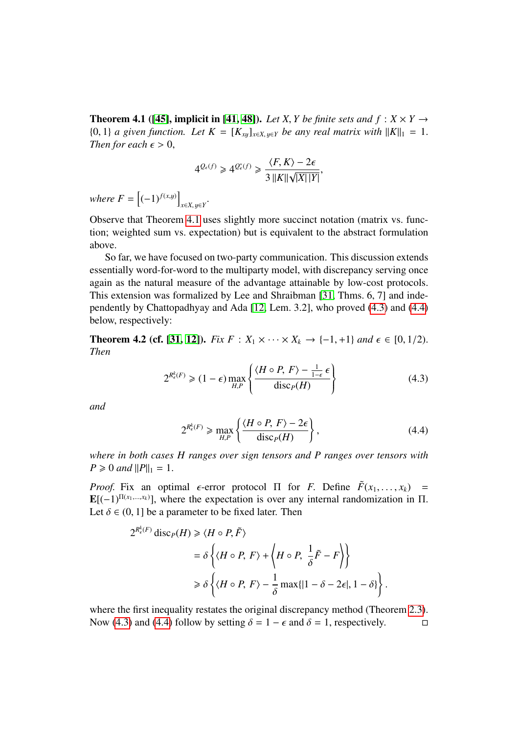**Theorem 4.1** ([\[45\]](#page-33-6), implicit in [\[41,](#page-33-4) [48\]](#page-34-3)). Let *X*, *Y* be finite sets and  $f: X \times Y \rightarrow Y$  $\{0, 1\}$  *a* given function. Let  $K = [K_{x}$ <sub>*x*u</sub><sub> $x \in X$ </sub>, *u*∈*Y be any real matrix with*  $||K||_1 = 1$ . *Then for each*  $\epsilon > 0$ ,

$$
4^{\mathcal{Q}_{\epsilon}(f)} \geq 4^{\mathcal{Q}^*_{\epsilon}(f)} \geq \frac{\langle F, K \rangle - 2\epsilon}{3\,||K||\sqrt{|X|}|Y|},
$$

*where*  $F = \left[(-1)^{f(x,y)}\right]$ *<sup>x</sup>*∈*X*, y∈*<sup>Y</sup>* .

Observe that Theorem [4.1](#page-13-2) uses slightly more succinct notation (matrix vs. function; weighted sum vs. expectation) but is equivalent to the abstract formulation above.

So far, we have focused on two-party communication. This discussion extends essentially word-for-word to the multiparty model, with discrepancy serving once again as the natural measure of the advantage attainable by low-cost protocols. This extension was formalized by Lee and Shraibman [\[31,](#page-33-7) Thms. 6, 7] and independently by Chattopadhyay and Ada [\[12,](#page-31-7) Lem. 3.2], who proved [\(4.3\)](#page-14-0) and [\(4.4\)](#page-14-1) below, respectively:

**Theorem 4.2 (cf. [\[31,](#page-33-7) [12\]](#page-31-7)).** *Fix F* :  $X_1 \times \cdots \times X_k$  → {−1, +1} *and*  $\epsilon \in [0, 1/2)$ . *Then*

<span id="page-14-0"></span>
$$
2^{R_{\epsilon}^k(F)} \geqslant (1 - \epsilon) \max_{H, P} \left\{ \frac{\langle H \circ P, F \rangle - \frac{1}{1 - \epsilon} \epsilon}{\text{disc}_P(H)} \right\} \tag{4.3}
$$

*and*

<span id="page-14-1"></span>
$$
2^{R_{\epsilon}^k(F)} \ge \max_{H,P} \left\{ \frac{\langle H \circ P, F \rangle - 2\epsilon}{\text{disc}_P(H)} \right\},\tag{4.4}
$$

*where in both cases H ranges over sign tensors and P ranges over tensors with*  $P \ge 0$  *and*  $||P||_1 = 1$ .

*Proof.* Fix an optimal  $\epsilon$ -error protocol  $\Pi$  for *F*. Define  $\tilde{F}(x_1, \ldots, x_k)$  =  $\mathbf{E}[(-1)^{\Pi(x_1,\dots,x_k)}]$ , where the expectation is over any internal randomization in  $\Pi$ .<br>Let  $\delta \in (0, 1]$  be a parameter to be fixed later. Then Let  $\delta \in (0, 1]$  be a parameter to be fixed later. Then

$$
2^{R_{\epsilon}^{k}(F)} \operatorname{disc}_{P}(H) \ge \langle H \circ P, \tilde{F} \rangle
$$
  
=  $\delta \left\{ \langle H \circ P, F \rangle + \left\langle H \circ P, \frac{1}{\delta} \tilde{F} - F \right\rangle \right\}$   
 $\ge \delta \left\{ \langle H \circ P, F \rangle - \frac{1}{\delta} \max \{ |1 - \delta - 2\epsilon|, 1 - \delta \} \right\}$ 

where the first inequality restates the original discrepancy method (Theorem [2.3\)](#page-7-1). Now [\(4.3\)](#page-14-0) and [\(4.4\)](#page-14-1) follow by setting  $\delta = 1 - \epsilon$  and  $\delta = 1$ , respectively.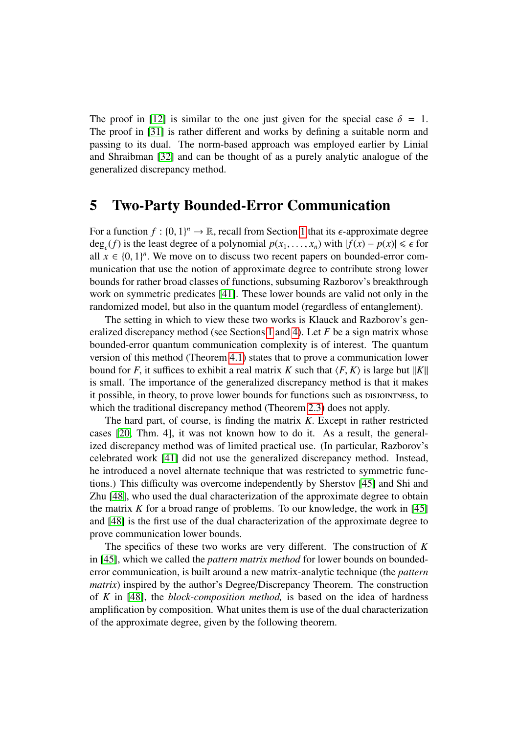The proof in [\[12\]](#page-31-7) is similar to the one just given for the special case  $\delta = 1$ . The proof in [\[31\]](#page-33-7) is rather different and works by defining a suitable norm and passing to its dual. The norm-based approach was employed earlier by Linial and Shraibman [\[32\]](#page-33-9) and can be thought of as a purely analytic analogue of the generalized discrepancy method.

### <span id="page-15-0"></span>5 Two-Party Bounded-Error Communication

For a function  $f : \{0, 1\}^n \to \mathbb{R}$  $f : \{0, 1\}^n \to \mathbb{R}$  $f : \{0, 1\}^n \to \mathbb{R}$ , recall from Section 1 that its  $\epsilon$ -approximate degree<br>deg (f) is the least degree of a polynomial  $p(x, y)$  with  $|f(x) - p(x)| \le \epsilon$  for deg<sub> $\epsilon$ </sub>(*f*) is the least degree of a polynomial  $p(x_1, \ldots, x_n)$  with  $|f(x) - p(x)| \leq \epsilon$  for all  $x \in \{0, 1\}^n$ . We move on to discuss two recent papers on bounded-error comall  $x \in \{0, 1\}^n$ . We move on to discuss two recent papers on bounded-error com-<br>munication that use the notion of approximate degree to contribute strong lower munication that use the notion of approximate degree to contribute strong lower bounds for rather broad classes of functions, subsuming Razborov's breakthrough work on symmetric predicates [\[41\]](#page-33-4). These lower bounds are valid not only in the randomized model, but also in the quantum model (regardless of entanglement).

The setting in which to view these two works is Klauck and Razborov's generalized discrepancy method (see Sections [1](#page-1-0) and [4\)](#page-12-0). Let *F* be a sign matrix whose bounded-error quantum communication complexity is of interest. The quantum version of this method (Theorem [4.1\)](#page-13-2) states that to prove a communication lower bound for *F*, it suffices to exhibit a real matrix *K* such that  $\langle F, K \rangle$  is large but  $||K||$ is small. The importance of the generalized discrepancy method is that it makes it possible, in theory, to prove lower bounds for functions such as  $Disjon$  respectively. which the traditional discrepancy method (Theorem [2.3\)](#page-7-1) does not apply.

The hard part, of course, is finding the matrix *<sup>K</sup>*. Except in rather restricted cases [\[20,](#page-32-8) Thm. 4], it was not known how to do it. As a result, the generalized discrepancy method was of limited practical use. (In particular, Razborov's celebrated work [\[41\]](#page-33-4) did not use the generalized discrepancy method. Instead, he introduced a novel alternate technique that was restricted to symmetric functions.) This difficulty was overcome independently by Sherstov [\[45\]](#page-33-6) and Shi and Zhu [\[48\]](#page-34-3), who used the dual characterization of the approximate degree to obtain the matrix  $K$  for a broad range of problems. To our knowledge, the work in [\[45\]](#page-33-6) and [\[48\]](#page-34-3) is the first use of the dual characterization of the approximate degree to prove communication lower bounds.

<span id="page-15-1"></span>The specifics of these two works are very different. The construction of *K* in [\[45\]](#page-33-6), which we called the *pattern matrix method* for lower bounds on boundederror communication, is built around a new matrix-analytic technique (the *pattern matrix*) inspired by the author's Degree/Discrepancy Theorem. The construction of *K* in [\[48\]](#page-34-3), the *block-composition method,* is based on the idea of hardness amplification by composition. What unites them is use of the dual characterization of the approximate degree, given by the following theorem.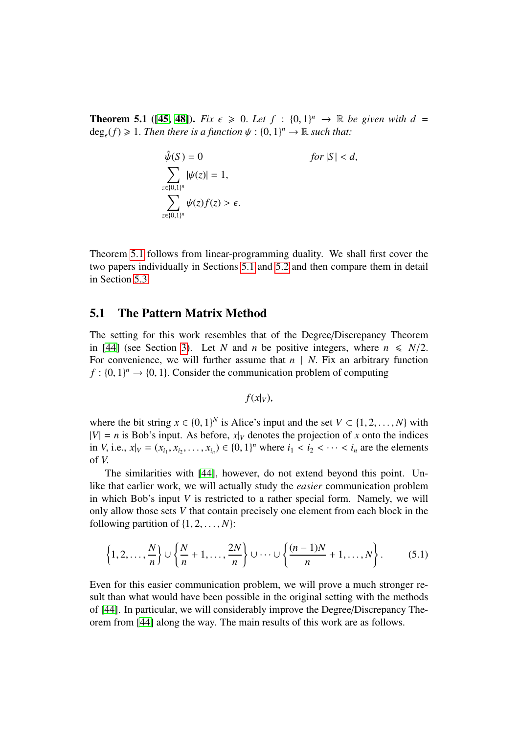**Theorem 5.1** ([\[45,](#page-33-6) [48\]](#page-34-3)). *Fix*  $\epsilon \ge 0$ . *Let*  $f : \{0, 1\}^n \to \mathbb{R}$  *be given with*  $d =$ <br>deg (f) > 1. Then there is a function  $d \cdot 10^{-1}$   $\to \mathbb{R}$  such that:  $deg_{\epsilon}(f) \geq 1$ . Then there is a function  $\psi : \{0, 1\}^n \to \mathbb{R}$  such that:

$$
\hat{\psi}(S) = 0 \qquad \text{for } |S| < d,
$$
\n
$$
\sum_{z \in \{0,1\}^n} |\psi(z)| = 1,
$$
\n
$$
\sum_{z \in \{0,1\}^n} \psi(z)f(z) > \epsilon.
$$

Theorem [5.1](#page-15-1) follows from linear-programming duality. We shall first cover the two papers individually in Sections [5.1](#page-16-0) and [5.2](#page-21-0) and then compare them in detail in Section [5.3.](#page-24-0)

#### <span id="page-16-0"></span>5.1 The Pattern Matrix Method

The setting for this work resembles that of the Degree/Discrepancy Theorem in [\[44\]](#page-33-5) (see Section [3\)](#page-8-0). Let *N* and *n* be positive integers, where  $n \le N/2$ . For convenience, we will further assume that  $n \mid N$ . Fix an arbitrary function  $f: \{0, 1\}^n \to \{0, 1\}$ . Consider the communication problem of computing

$$
f(x|_V),
$$

where the bit string  $x \in \{0, 1\}^N$  is Alice's input and the set  $V \subset \{1, 2, ..., N\}$  with  $|V| = n$  is Bob's input. As before,  $x|_V$  denotes the projection of x onto the indices  $|V| = n$  is Bob's input. As before,  $x|_V$  denotes the projection of *x* onto the indices in *V*, i.e.,  $x|_V = (x_{i_1}, x_{i_2}, \dots, x_{i_n}) \in \{0, 1\}^n$  where  $i_1 < i_2 < \dots < i_n$  are the elements of *<sup>V</sup>*.

The similarities with [\[44\]](#page-33-5), however, do not extend beyond this point. Unlike that earlier work, we will actually study the *easier* communication problem in which Bob's input *V* is restricted to a rather special form. Namely, we will only allow those sets *V* that contain precisely one element from each block in the following partition of  $\{1, 2, \ldots, N\}$ :

<span id="page-16-2"></span>
$$
\left\{1,2,\ldots,\frac{N}{n}\right\} \cup \left\{\frac{N}{n}+1,\ldots,\frac{2N}{n}\right\} \cup \cdots \cup \left\{\frac{(n-1)N}{n}+1,\ldots,N\right\}.
$$
 (5.1)

<span id="page-16-1"></span>Even for this easier communication problem, we will prove a much stronger result than what would have been possible in the original setting with the methods of [\[44\]](#page-33-5). In particular, we will considerably improve the Degree/Discrepancy Theorem from [\[44\]](#page-33-5) along the way. The main results of this work are as follows.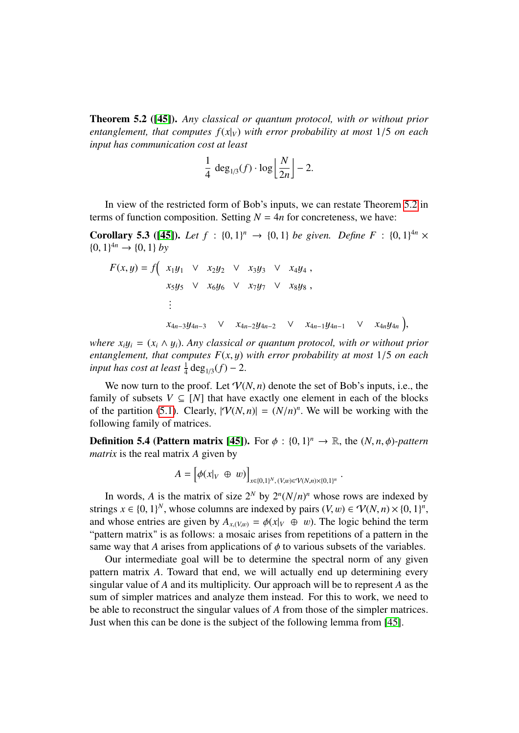Theorem 5.2 ([\[45\]](#page-33-6)). *Any classical or quantum protocol, with or without prior entanglement, that computes*  $f(x|_V)$  *with error probability at most* 1/5 *on each input has communication cost at least*

$$
\frac{1}{4} \deg_{1/3}(f) \cdot \log \left\lfloor \frac{N}{2n} \right\rfloor - 2.
$$

In view of the restricted form of Bob's inputs, we can restate Theorem [5.2](#page-16-1) in terms of function composition. Setting  $N = 4n$  for concreteness, we have:

**Corollary 5.3 ([\[45\]](#page-33-6)).** *Let*  $f : \{0, 1\}^n \to \{0, 1\}$  *be given. Define*  $F : \{0, 1\}^{4n} \times$ <br> $\{0, 1\}^{4n} \to \{0, 1\}$  by  $\{0, 1\}^{4n} \rightarrow \{0, 1\}$  *by* 

$$
F(x, y) = f\left(x_1y_1 \lor x_2y_2 \lor x_3y_3 \lor x_4y_4, x_5y_5 \lor x_6y_6 \lor x_7y_7 \lor x_8y_8, \right.\n\vdots\n\quad\nx_{4n-3}y_{4n-3} \lor x_{4n-2}y_{4n-2} \lor x_{4n-1}y_{4n-1} \lor x_{4n}y_{4n}\right)
$$

*where*  $x_i y_i = (x_i \wedge y_i)$ . *Any classical or quantum protocol, with or without prior entanglement, that computes F*(*x*, y) *with error probability at most* <sup>1</sup>/<sup>5</sup> *on each input has cost at least*  $\frac{1}{4}$  deg<sub>1/3</sub> $(f)$  – 2.

,

We now turn to the proof. Let  $V(N, n)$  denote the set of Bob's inputs, i.e., the family of subsets  $V \subseteq [N]$  that have exactly one element in each of the blocks of the partition [\(5.1\)](#page-16-2). Clearly,  $|\mathcal{V}(N,n)| = (N/n)^n$ . We will be working with the following family of matrices following family of matrices.

**Definition 5.4 (Pattern matrix [\[45\]](#page-33-6)).** For  $\phi : \{0, 1\}^n \to \mathbb{R}$ , the  $(N, n, \phi)$ -pattern matrix is the real matrix A given by *matrix* is the real matrix *A* given by

$$
A = [\phi(x|_V \oplus w)]_{x \in \{0,1\}^N, (V,w) \in V(N,n) \times \{0,1\}^n}
$$

In words, *A* is the matrix of size  $2^N$  by  $2^n (N/n)^n$  whose rows are indexed by<br>ags  $x \in \{0, 1\}^N$  whose columns are indexed by pairs  $(V, w) \in V(N, n) \times \{0, 1\}^n$ strings  $x \in \{0, 1\}^N$ , whose columns are indexed by pairs  $(V, w) \in \mathcal{V}(N, n) \times \{0, 1\}^n$ <br>and whose entries are given by  $A_{(W, \lambda)} = \phi(x|_{U, \lambda} \oplus w)$ . The logic behind the term and whose entries are given by  $A_{x,(V,w)} = \phi(x|_V \oplus w)$ . The logic behind the term<br>"pattern matrix" is as follows: a mosaic arises from repetitions of a pattern in the "pattern matrix" is as follows: a mosaic arises from repetitions of a pattern in the same way that *A* arises from applications of  $\phi$  to various subsets of the variables.

<span id="page-17-0"></span>Our intermediate goal will be to determine the spectral norm of any given pattern matrix *<sup>A</sup>*. Toward that end, we will actually end up determining every singular value of *A* and its multiplicity. Our approach will be to represent *A* as the sum of simpler matrices and analyze them instead. For this to work, we need to be able to reconstruct the singular values of *A* from those of the simpler matrices. Just when this can be done is the subject of the following lemma from [\[45\]](#page-33-6).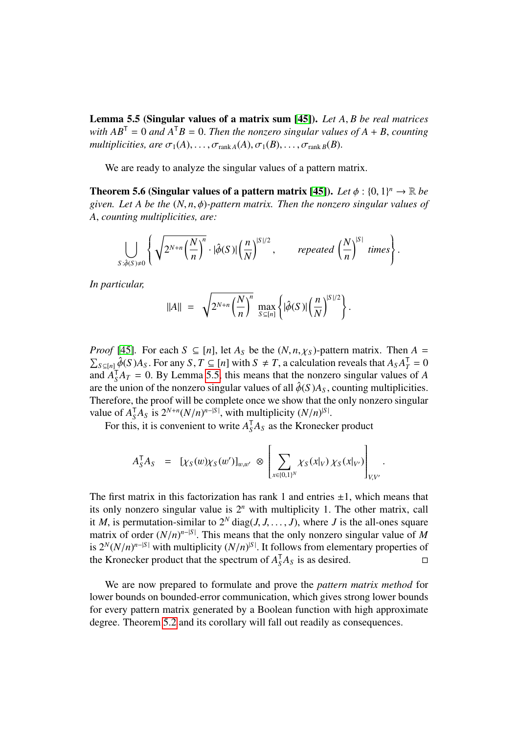Lemma 5.5 (Singular values of a matrix sum [\[45\]](#page-33-6)). *Let A*, *B be real matrices with*  $AB^T = 0$  *and*  $A^T B = 0$ *. Then the nonzero singular values of*  $A + B$ *, counting multiplicities, are*  $\sigma_1(A), \ldots, \sigma_{\text{rank }A}(A), \sigma_1(B), \ldots, \sigma_{\text{rank }B}(B)$ .

We are ready to analyze the singular values of a pattern matrix.

<span id="page-18-0"></span>**Theorem 5.6 (Singular values of a pattern matrix [\[45\]](#page-33-6)).** *Let*  $\phi : \{0, 1\}^n \to \mathbb{R}$  *be* given *Let* A be the (N, n,  $\phi$ )-pattern matrix. Then the nonzero singular values of *given. Let A be the* (*N*, *<sup>n</sup>*, φ)*-pattern matrix. Then the nonzero singular values of <sup>A</sup>*, *counting multiplicities, are:*

$$
\bigcup_{S:\hat{\phi}(S)\neq 0} \left\{ \sqrt{2^{N+n} \left(\frac{N}{n}\right)^n} \cdot |\hat{\phi}(S)| \left(\frac{n}{N}\right)^{|S|/2}, \text{ repeated } \left(\frac{N}{n}\right)^{|S|} \text{ times} \right\}.
$$

*In particular,*

$$
||A|| = \sqrt{2^{N+n} \left(\frac{N}{n}\right)^n} \max_{S \subseteq [n]} \left\{ |\hat{\phi}(S)| \left(\frac{n}{N}\right)^{|S|/2} \right\}.
$$

*Proof* [\[45\]](#page-33-6). For each  $S \subseteq [n]$ , let  $A_S$  be the  $(N, n, \chi_S)$ -pattern matrix. Then  $A = \sum_{S \subseteq [n]} \hat{\phi}(S) A_S$ . For any  $S, T \subseteq [n]$  with  $S \neq T$ , a calculation reveals that  $A_S A_T^T = 0$  $S \subseteq [n]$   $\hat{\phi}(S)A_S$ . For any *S*,  $T \subseteq [n]$  with  $S \neq T$ , a calculation reveals that  $A_S A_T^T = 0$ <br>*Id*  $A^T A_T = 0$ . By I emma 5.5, this means that the nonzero singular values of A and  $A_S^T A_T = 0$ . By Lemma [5.5,](#page-17-0) this means that the nonzero singular values of *A* are the union of the nonzero singular values of all  $\hat{\phi}(S)A_S$  counting multiplicities are the union of the nonzero singular values of all  $\hat{\phi}(S)A_S$ , counting multiplicities. Therefore, the proof will be complete once we show that the only nonzero singular value of  $A_S^T A_S$  is  $2^{N+n} (N/n)^{n-|S|}$ , with multiplicity  $(N/n)^{|S|}$ <br>For this, it is convenient to write  $A^T A_S$  as the Kroneck

For this, it is convenient to write  $A_S^T A_S$  as the Kronecker product

$$
A_S^{\mathsf{T}} A_S = [\chi_S(w) \chi_S(w')]_{w,w'} \otimes \left[ \sum_{x \in \{0,1\}^N} \chi_S(x|_V) \chi_S(x|_{V'}) \right]_{V,V'}.
$$

The first matrix in this factorization has rank 1 and entries  $\pm 1$ , which means that its only nonzero singular value is 2*<sup>n</sup>* with multiplicity 1. The other matrix, call it *M*, is permutation-similar to  $2^N$  diag(*J*, *J*, . . . , *J*), where *J* is the all-ones square matrix of order  $(N/n)^{n-|S|}$ . This means that the only nonzero singular value of *M* is  $2^N (N/n)^{n-|S|}$  with multiplicity  $(N/n)^{|S|}$ . It follows from elementary properties of is  $2^N (N/n)^{n-|S|}$  with multiplicity  $(N/n)^{|S|}$ . It follows from elementary properties of the Kronecker product that the spectrum of  $A^T A_{S}$  is as desired the Kronecker product that the spectrum of  $A_S^T A_S$  is as desired.

<span id="page-18-1"></span>We are now prepared to formulate and prove the *pattern matrix method* for lower bounds on bounded-error communication, which gives strong lower bounds for every pattern matrix generated by a Boolean function with high approximate degree. Theorem [5.2](#page-16-1) and its corollary will fall out readily as consequences.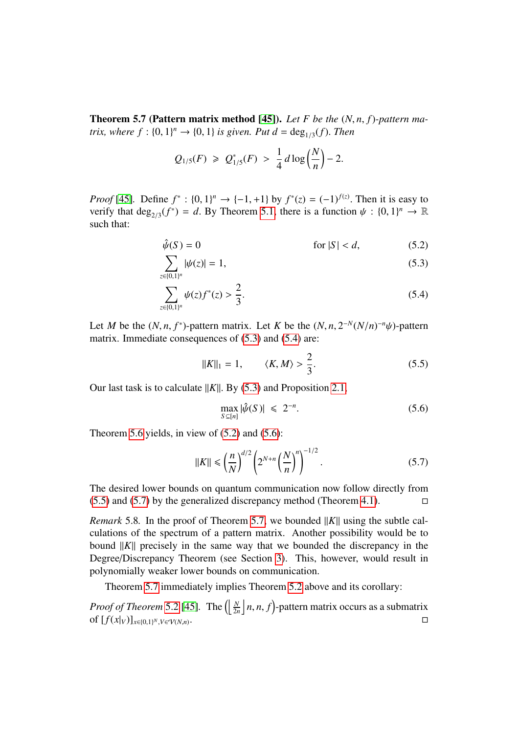Theorem 5.7 (Pattern matrix method [\[45\]](#page-33-6)). *Let F be the* (*N*, *<sup>n</sup>*, *<sup>f</sup>*)*-pattern matrix, where*  $f : \{0, 1\}^n \to \{0, 1\}$  *is given. Put d* =  $\deg_{1/3}(f)$ *. Then* 

$$
Q_{1/5}(F) \geq Q_{1/5}^*(F) > \frac{1}{4}d\log\left(\frac{N}{n}\right) - 2.
$$

*Proof* [\[45\]](#page-33-6). Define  $f^* : \{0, 1\}^n \to \{-1, +1\}$  by  $f^*(z) = (-1)^{f(z)}$ . Then it is easy to verify that deg  $(f^*) = d$ . By Theorem 5.1, there is a function  $y \in \{0, 1\}^n \to \mathbb{R}$ verify that  $deg_{2/3}(f^*) = d$ . By Theorem [5.1,](#page-15-1) there is a function  $\psi : \{0, 1\}^n \to \mathbb{R}$ <br>such that such that:

$$
\hat{\psi}(S) = 0 \qquad \text{for } |S| < d,\tag{5.2}
$$

$$
\sum_{z \in \{0,1\}^n} |\psi(z)| = 1,\tag{5.3}
$$

$$
\sum_{z \in \{0,1\}^n} \psi(z) f^*(z) > \frac{2}{3}.\tag{5.4}
$$

Let *M* be the  $(N, n, f^*)$ -pattern matrix. Let *K* be the  $(N, n, 2^{-N}(N/n)^{-n}\psi)$ -pattern<br>matrix. Immediate consequences of (5.3) and (5.4) are: matrix. Immediate consequences of [\(5.3\)](#page-19-0) and [\(5.4\)](#page-19-1) are:

<span id="page-19-4"></span><span id="page-19-2"></span><span id="page-19-1"></span><span id="page-19-0"></span>
$$
||K||_1 = 1,
$$
  $\langle K, M \rangle > \frac{2}{3}.$  (5.5)

Our last task is to calculate  $||K||$ . By [\(5.3\)](#page-19-0) and Proposition [2.1,](#page-5-0)

<span id="page-19-3"></span>
$$
\max_{S \subseteq [n]} |\hat{\psi}(S)| \leq 2^{-n}.\tag{5.6}
$$

Theorem [5.6](#page-18-0) yields, in view of  $(5.2)$  and  $(5.6)$ :

<span id="page-19-5"></span>
$$
||K|| \le \left(\frac{n}{N}\right)^{d/2} \left(2^{N+n} \left(\frac{N}{n}\right)^n\right)^{-1/2}.
$$
 (5.7)

The desired lower bounds on quantum communication now follow directly from  $(5.5)$  and  $(5.7)$  by the generalized discrepancy method (Theorem [4.1\)](#page-13-2).

*Remark* 5.8. In the proof of Theorem [5.7,](#page-18-1) we bounded  $||K||$  using the subtle calculations of the spectrum of a pattern matrix. Another possibility would be to bound  $||K||$  precisely in the same way that we bounded the discrepancy in the Degree/Discrepancy Theorem (see Section [3\)](#page-8-0). This, however, would result in polynomially weaker lower bounds on communication.

Theorem [5.7](#page-18-1) immediately implies Theorem [5.2](#page-16-1) above and its corollary:

*Proof of Theorem* [5.2](#page-16-1) [\[45\]](#page-33-6). The  $\left(\left\lfloor \frac{N}{2n} \right\rfloor n, n, f\right)$ -pattern matrix occurs as a submatrix of  $\left\lfloor f(x|\cdot) \right\rfloor$ of  $[f(x|<sub>V</sub>)]<sub>x∈{0,1</sub>}<sup>N</sup>,<sub>V∈V(N,n)</sub>$  $\Box$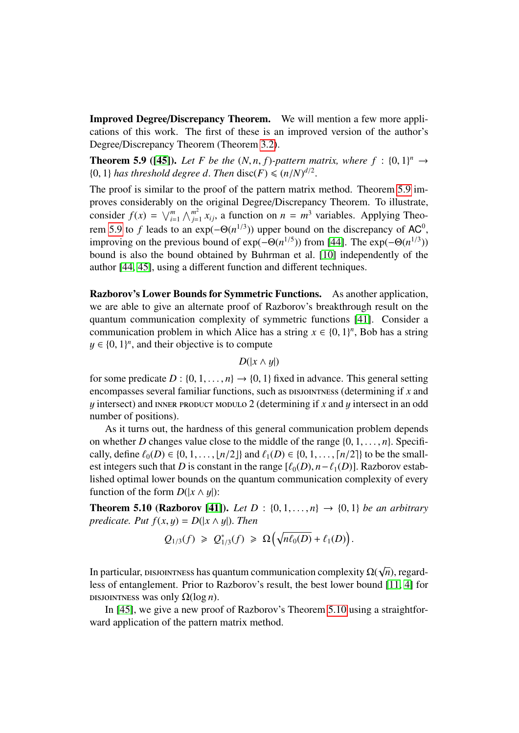Improved Degree/Discrepancy Theorem. We will mention a few more applications of this work. The first of these is an improved version of the author's Degree/Discrepancy Theorem (Theorem [3.2\)](#page-9-0).

<span id="page-20-0"></span>**Theorem 5.9 ([\[45\]](#page-33-6)).** Let F be the  $(N, n, f)$ -pattern matrix, where  $f : \{0, 1\}^n \rightarrow$ <br>10. 1) has threshold degree d. Then disc(F) <  $(n/N)^{d/2}$ {0, 1} *has threshold degree d. Then* disc(*F*)  $\leq$   $(n/N)^{d/2}$ 

The proof is similar to the proof of the pattern matrix method. Theorem [5.9](#page-20-0) improves considerably on the original Degree/Discrepancy Theorem. To illustrate, consider  $f(x) = \sqrt{\frac{m}{i}} \wedge \frac{m^2}{j}$  $j=1 \ x_{ij}$ , a function on  $n = m^3$  variables. Applying Theo-rem [5.9](#page-20-0) to *f* leads to an  $exp(-\Theta(n^{1/3}))$  upper bound on the discrepancy of AC<sup>0</sup> improving on the previous bound of  $exp(-\Theta(n^{1/5}))$  from [\[44\]](#page-33-5). The  $exp(-\Theta(n^{1/3}))$ bound is also the bound obtained by Buhrman et al. [\[10\]](#page-31-5) independently of the author [\[44,](#page-33-5) [45\]](#page-33-6), using a different function and different techniques.

Razborov's Lower Bounds for Symmetric Functions. As another application, we are able to give an alternate proof of Razborov's breakthrough result on the quantum communication complexity of symmetric functions [\[41\]](#page-33-4). Consider a communication problem in which Alice has a string  $x \in \{0, 1\}^n$ , Bob has a string  $u \in \{0, 1\}^n$  and their objective is to compute  $y \in \{0, 1\}^n$ , and their objective is to compute

 $D(|x \wedge y|)$ 

for some predicate  $D : \{0, 1, \ldots, n\} \rightarrow \{0, 1\}$  fixed in advance. This general setting encompasses several familiar functions, such as DISJOINTNESS (determining if *x* and  $y$  intersect) and INNER PRODUCT MODULO 2 (determining if  $x$  and  $y$  intersect in an odd number of positions).

As it turns out, the hardness of this general communication problem depends on whether *D* changes value close to the middle of the range  $\{0, 1, \ldots, n\}$ . Specifically, define  $\ell_0(D) \in \{0, 1, ..., \lfloor n/2 \rfloor\}$  and  $\ell_1(D) \in \{0, 1, ..., \lfloor n/2 \rfloor\}$  to be the smallest integers such that *D* is constant in the range  $[\ell_0(D), n-\ell_1(D)]$ . Razborov established optimal lower bounds on the quantum communication complexity of every function of the form  $D(|x \wedge y|)$ :

<span id="page-20-1"></span>**Theorem 5.10 (Razborov [\[41\]](#page-33-4)).** *Let*  $D : \{0, 1, ..., n\} \to \{0, 1\}$  *be an arbitrary predicate. Put*  $f(x, y) = D(|x \wedge y|)$ *. Then* 

$$
Q_{1/3}(f) \geq Q_{1/3}^*(f) \geq \Omega\big(\sqrt{n\ell_0(D)} + \ell_1(D)\big).
$$

In particular, DISJOINTNESS has quantum communication complexity  $\Omega(\sqrt{2})$ *n*), regard-<br>[11–4] for less of entanglement. Prior to Razborov's result, the best lower bound [\[11,](#page-31-4) [4\]](#page-31-13) for DISJOINTNESS was only  $\Omega(\log n)$ .

In [\[45\]](#page-33-6), we give a new proof of Razborov's Theorem [5.10](#page-20-1) using a straightforward application of the pattern matrix method.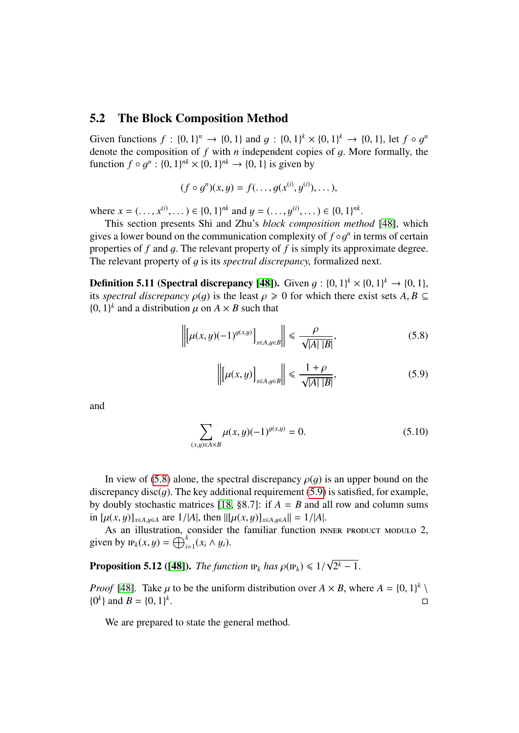#### <span id="page-21-0"></span>5.2 The Block Composition Method

Given functions  $f : \{0, 1\}^n \to \{0, 1\}$  and  $g : \{0, 1\}^k \times \{0, 1\}^k \to \{0, 1\}$ , let  $f \circ g^n$ <br>denote the composition of f with *n* independent copies of a More formally the denote the composition of *<sup>f</sup>* with *<sup>n</sup>* independent copies of g. More formally, the function  $f \circ g^n : \{0, 1\}^{nk} \times \{0, 1\}^{nk} \to \{0, 1\}$  is given by

$$
(f\circ g^n)(x,y)=f(\ldots,g(x^{(i)},y^{(i)}),\ldots),
$$

where  $x = (\ldots, x^{(i)}, \ldots) \in \{0, 1\}^{nk}$  and  $y = (\ldots, y^{(i)}, \ldots) \in \{0, 1\}^{nk}$ <br>This section presents Shi and Zhu's block composition met

This section presents Shi and Zhu's *block composition method* [\[48\]](#page-34-3), which gives a lower bound on the communication complexity of  $f \circ g^n$  in terms of certain<br>properties of f and a. The relevant property of f is simply its approximate degree. properties of *<sup>f</sup>* and g. The relevant property of *<sup>f</sup>* is simply its approximate degree. The relevant property of g is its *spectral discrepancy,* formalized next.

**Definition 5.11 (Spectral discrepancy [\[48\]](#page-34-3)).** Given  $g: \{0, 1\}^k \times \{0, 1\}^k \to \{0, 1\}$ , its spectral discrepancy  $o(a)$  is the least  $a \ge 0$  for which there exist sets A  $B \subset$ its *spectral discrepancy*  $\rho(q)$  is the least  $\rho \geq 0$  for which there exist sets  $A, B \subseteq$  $\{0, 1\}^k$  and a distribution  $\mu$  on  $A \times B$  such that

$$
\left\| \left[ \mu(x, y)(-1)^{g(x, y)} \right]_{x \in A, y \in B} \right\| \leq \frac{\rho}{\sqrt{|A| |B|}}, \tag{5.8}
$$

<span id="page-21-3"></span><span id="page-21-2"></span><span id="page-21-1"></span>
$$
\left\| \left[ \mu(x, y) \right]_{x \in A, y \in B} \right\| \leq \frac{1 + \rho}{\sqrt{|A| |B|}},\tag{5.9}
$$

and

$$
\sum_{(x,y)\in A\times B} \mu(x,y)(-1)^{g(x,y)} = 0.
$$
 (5.10)

In view of [\(5.8\)](#page-21-1) alone, the spectral discrepancy  $\rho(g)$  is an upper bound on the discrepancy disc(q). The key additional requirement [\(5.9\)](#page-21-2) is satisfied, for example, by doubly stochastic matrices [\[18,](#page-32-10) §8.7]: if  $A = B$  and all row and column sums in  $[\mu(x, y)]_{x \in A, y \in A}$  are  $1/|A|$ , then  $\|[\mu(x, y)]_{x \in A, y \in A}\| = 1/|A|$ .

As an illustration, consider the familiar function INNER PRODUCT MODULO 2, given by  $\text{IP}_k(x, y) = \bigoplus_{i=1}^k (x_i \wedge y_i).$ 

<span id="page-21-4"></span>**Proposition 5.12** ([\[48\]](#page-34-3)). *The function*  $P_k$  *has*  $\rho(P_k) \leq 1/$ √  $2^k-1$ .

*Proof* [\[48\]](#page-34-3). Take  $\mu$  to be the uniform distribution over  $A \times B$ , where  $A = \{0, 1\}^k \setminus \{0^k\}$  and  $B = \{0, 1\}^k$  ${0<sup>k</sup>}$  and *B* =  ${0, 1}<sup>k</sup>$ .<br>1980 - Johann Barnett, fransk politiker († 1908)<br>1980 - Johann Barnett, fransk politiker († 1908)

<span id="page-21-5"></span>We are prepared to state the general method.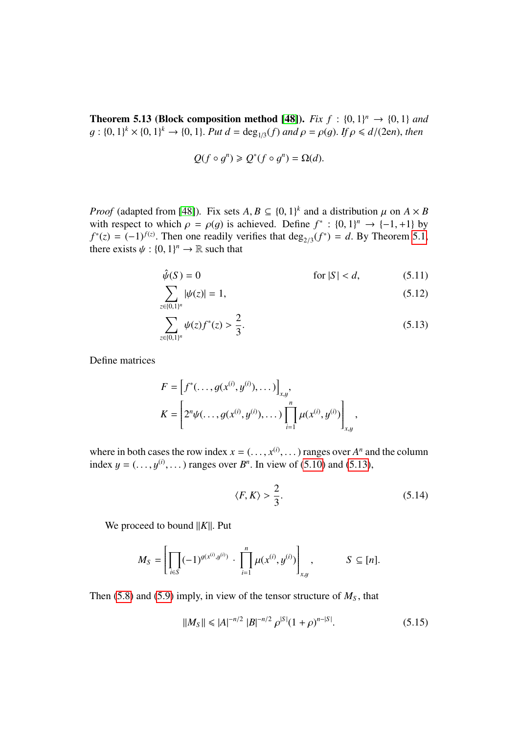**Theorem 5.13 (Block composition method [\[48\]](#page-34-3)).** *Fix*  $f : \{0, 1\}^n \rightarrow \{0, 1\}$  and  $g : \{0, 1\}^k \rightarrow \{0, 1\}^k \rightarrow \{0, 1\}^n$  *Put*  $d = \text{deg}(f)$  and  $g = g(g)$ . If  $g \leq d/(2en)$  then  $g: \{0, 1\}^k \times \{0, 1\}^k \to \{0, 1\}$ . Put  $d = \deg_{1/3}(f)$  and  $\rho = \rho(g)$ . If  $\rho \le d/(2en)$ , then

<span id="page-22-1"></span>
$$
Q(f\circ g^n)\geqslant Q^*(f\circ g^n)=\Omega(d).
$$

*Proof* (adapted from [\[48\]](#page-34-3)). Fix sets  $A, B \subseteq \{0, 1\}^k$  and a distribution  $\mu$  on  $A \times B$ <br>with respect to which  $\rho = \rho(a)$  is achieved. Define  $f^* : \{0, 1\}^n \to \{0, 1\}^n$ *Proof* (adapted from [48]). Fix sets  $A, B \subseteq \{0, 1\}^k$  and a distribution  $\mu$  on  $A \times B$ with respect to which  $\rho = \rho(g)$  is achieved. Define  $f^* : \{0, 1\}^n \to \{-1, +1\}$  by  $f^*(\tau) = (-1)^{f(z)}$ . Then one readily verifies that deg.  $(f^*) = d$ . By Theorem 5.1.  $f^*(z) = (-1)^{f(z)}$ . Then one readily verifies that deg<sub>2/3</sub>( $f^*$ ) = *d*. By Theorem [5.1,](#page-15-1) there exists  $f(x) \cdot f(0, 1)^n \to \mathbb{R}$  such that there exists  $\psi : \{0, 1\}^n \to \mathbb{R}$  such that

<span id="page-22-2"></span>
$$
\hat{\psi}(S) = 0 \qquad \text{for } |S| < d,\tag{5.11}
$$

$$
\sum_{z \in \{0,1\}^n} |\psi(z)| = 1,\tag{5.12}
$$

$$
\sum_{z \in \{0,1\}^n} \psi(z) f^*(z) > \frac{2}{3}.\tag{5.13}
$$

Define matrices

$$
F = \left[f^*(\ldots, g(x^{(i)}, y^{(i)}), \ldots)\right]_{x,y},
$$
  
\n
$$
K = \left[2^n \psi(\ldots, g(x^{(i)}, y^{(i)}), \ldots)\prod_{i=1}^n \mu(x^{(i)}, y^{(i)})\right]_{x,y},
$$

where in both cases the row index  $x = (..., x^{(i)}, ...)$  ranges over  $A^n$  and the column<br>index  $u = ($   $u^{(i)}$   $)$  ranges over  $B^n$ . In view of (5.10) and (5.13) index  $y = (..., y^{(i)}, ...)$  ranges over  $B^n$ . In view of [\(5.10\)](#page-21-3) and [\(5.13\)](#page-22-0),

<span id="page-22-4"></span><span id="page-22-0"></span>
$$
\langle F, K \rangle > \frac{2}{3}.\tag{5.14}
$$

We proceed to bound  $||K||$ . Put

$$
M_S = \left[ \prod_{i \in S} (-1)^{g(x^{(i)}, y^{(i)})} \cdot \prod_{i=1}^n \mu(x^{(i)}, y^{(i)}) \right]_{x, y}, \qquad S \subseteq [n].
$$

Then [\(5.8\)](#page-21-1) and [\(5.9\)](#page-21-2) imply, in view of the tensor structure of  $M<sub>S</sub>$ , that

<span id="page-22-3"></span>
$$
||M_S|| \le |A|^{-n/2} |B|^{-n/2} \rho^{|S|} (1+\rho)^{n-|S|}.
$$
 (5.15)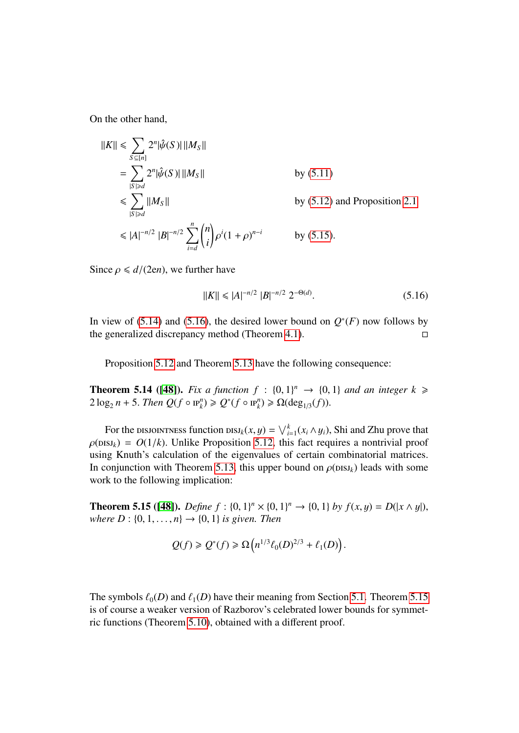On the other hand,

$$
||K|| \le \sum_{S \subseteq [n]} 2^n |\hat{\psi}(S)| ||M_S||
$$
  
\n
$$
= \sum_{|S| \ge d} 2^n |\hat{\psi}(S)| ||M_S||
$$
 by (5.11)  
\n
$$
\le \sum_{|S| \ge d} ||M_S||
$$
 by (5.12) and Proposition 2.1  
\n
$$
\le |A|^{-n/2} |B|^{-n/2} \sum_{i=d}^n {n \choose i} \rho^i (1+\rho)^{n-i}
$$
 by (5.15).

Since  $\rho \le d/(2en)$ , we further have

<span id="page-23-0"></span>
$$
||K|| \leq |A|^{-n/2} |B|^{-n/2} 2^{-\Theta(d)}.
$$
\n(5.16)

In view of [\(5.14\)](#page-22-4) and [\(5.16\)](#page-23-0), the desired lower bound on  $Q^*(F)$  now follows by the generalized discrepancy method (Theorem [4.1\)](#page-13-2).  $\Box$ 

Proposition [5.12](#page-21-4) and Theorem [5.13](#page-21-5) have the following consequence:

<span id="page-23-2"></span>**Theorem 5.14** ([\[48\]](#page-34-3)). *Fix a function*  $f : \{0, 1\}^n \rightarrow \{0, 1\}$  *and an integer*  $k \ge 2 \log n + 5$  *Then*  $O(f \circ \mathbb{P}^n) \ge O(f \circ \mathbb{P}^n) \ge O(\deg(f))$  $2 \log_2 n + 5$ . *Then*  $Q(f \circ \mathbf{P}_k^n) \geq Q^*(f \circ \mathbf{P}_k^n) \geq \Omega(\deg_{1/3}(f)).$ 

For the DISJOINTNESS function  $\text{DIS}^k(x, y) = \bigvee_{i=1}^k (x_i \wedge y_i)$ , Shi and Zhu prove that  $\text{RS}^k(x, y) = O(1/k)$ . Unlike Proposition 5.12, this fact requires a pontrivial proof  $\rho(\text{DISJ}_k) = O(1/k)$ . Unlike Proposition [5.12,](#page-21-4) this fact requires a nontrivial proof using Knuth's calculation of the eigenvalues of certain combinatorial matrices. In conjunction with Theorem [5.13,](#page-21-5) this upper bound on  $\rho$ (*pss<sub>k</sub>*) leads with some work to the following implication:

<span id="page-23-1"></span>**Theorem 5.15 ([\[48\]](#page-34-3)).** *Define f* : {0, 1}<sup>*n*</sup> × {0, 1}<sup>*n*</sup> → {0, 1} *by f*(*x, y*) = *D*( $|x \wedge y|$ ), where *D* : {0, 1} *n*} → {0, 1} *is given*. *Then where D* :  $\{0, 1, ..., n\} \to \{0, 1\}$  *is given. Then* 

$$
Q(f) \geqslant Q^*(f) \geqslant \Omega\left(n^{1/3} \ell_0(D)^{2/3} + \ell_1(D)\right).
$$

The symbols  $\ell_0(D)$  and  $\ell_1(D)$  have their meaning from Section [5.1.](#page-16-0) Theorem [5.15](#page-23-1) is of course a weaker version of Razborov's celebrated lower bounds for symmetric functions (Theorem [5.10\)](#page-20-1), obtained with a different proof.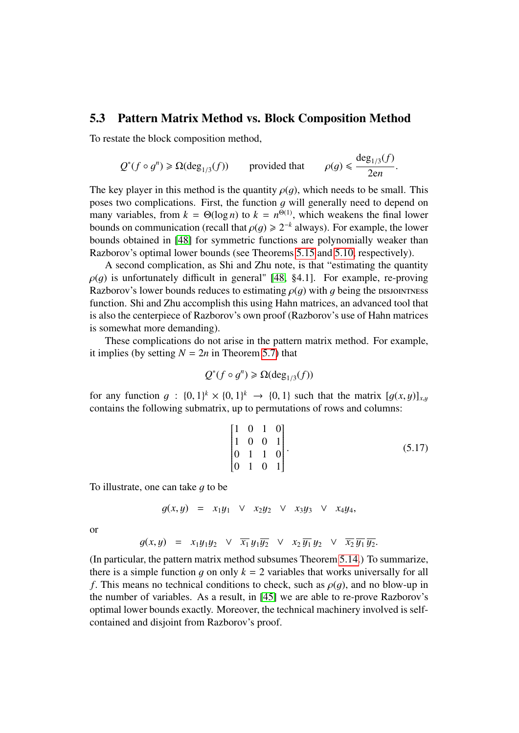#### <span id="page-24-0"></span>5.3 Pattern Matrix Method vs. Block Composition Method

To restate the block composition method,

$$
Q^*(f \circ g^n) \ge \Omega(\deg_{1/3}(f))
$$
 provided that  $\rho(g) \le \frac{\deg_{1/3}(f)}{2en}$ .

The key player in this method is the quantity  $\rho(q)$ , which needs to be small. This poses two complications. First, the function  $q$  will generally need to depend on many variables, from  $k = \Theta(\log n)$  to  $k = n^{\Theta(1)}$ , which weakens the final lower<br>bounds on communication (recall that  $\rho(a) \ge 2^{-k}$  always). For example, the lower bounds on communication (recall that  $\rho(g) \ge 2^{-k}$  always). For example, the lower<br>bounds obtained in [48] for symmetric functions are polynomially weaker than bounds obtained in [\[48\]](#page-34-3) for symmetric functions are polynomially weaker than Razborov's optimal lower bounds (see Theorems [5.15](#page-23-1) and [5.10,](#page-20-1) respectively).

A second complication, as Shi and Zhu note, is that "estimating the quantity  $\rho(q)$  is unfortunately difficult in general" [\[48,](#page-34-3) §4.1]. For example, re-proving Razborov's lower bounds reduces to estimating  $\rho(q)$  with g being the DISJOINTNESS function. Shi and Zhu accomplish this using Hahn matrices, an advanced tool that is also the centerpiece of Razborov's own proof (Razborov's use of Hahn matrices is somewhat more demanding).

These complications do not arise in the pattern matrix method. For example, it implies (by setting  $N = 2n$  in Theorem [5.7\)](#page-18-1) that

$$
Q^*(f \circ g^n) \ge \Omega(\deg_{1/3}(f))
$$

for any function  $g : \{0,1\}^k \times \{0,1\}^k \rightarrow \{0,1\}$  such that the matrix  $[g(x,y)]_{x,y}$ <br>contains the following submatrix up to permutations of rows and columns: contains the following submatrix, up to permutations of rows and columns:

<span id="page-24-1"></span>
$$
\begin{bmatrix} 1 & 0 & 1 & 0 \\ 1 & 0 & 0 & 1 \\ 0 & 1 & 1 & 0 \\ 0 & 1 & 0 & 1 \end{bmatrix}.
$$
 (5.17)

To illustrate, one can take  $q$  to be

$$
g(x,y) = x_1y_1 \vee x_2y_2 \vee x_3y_3 \vee x_4y_4,
$$

or

$$
g(x,y) = x_1y_1y_2 \quad \forall \quad \overline{x_1} \ y_1\overline{y_2} \quad \forall \quad x_2 \ \overline{y_1} \ y_2 \quad \forall \quad \overline{x_2} \ \overline{y_1} \ \overline{y_2}.
$$

(In particular, the pattern matrix method subsumes Theorem [5.14.](#page-23-2)) To summarize, there is a simple function q on only  $k = 2$  variables that works universally for all *f*. This means no technical conditions to check, such as  $\rho(q)$ , and no blow-up in the number of variables. As a result, in [\[45\]](#page-33-6) we are able to re-prove Razborov's optimal lower bounds exactly. Moreover, the technical machinery involved is selfcontained and disjoint from Razborov's proof.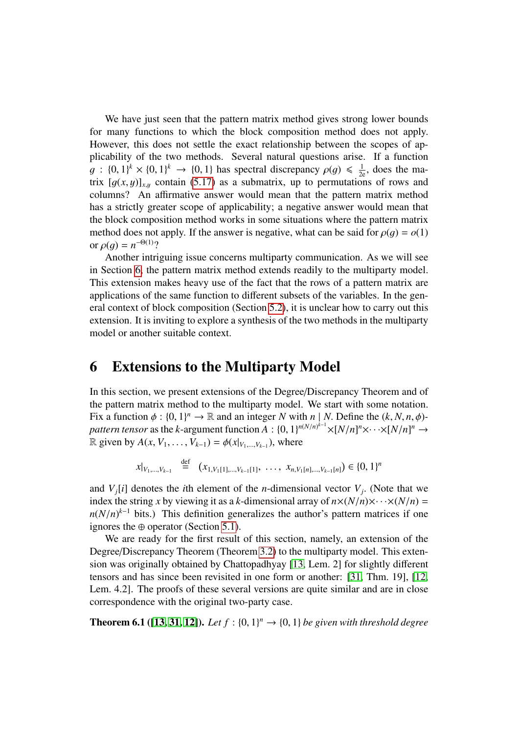We have just seen that the pattern matrix method gives strong lower bounds for many functions to which the block composition method does not apply. However, this does not settle the exact relationship between the scopes of applicability of the two methods. Several natural questions arise. If a function  $g : \{0,1\}^k \times \{0,1\}^k \to \{0,1\}$  has spectral discrepancy  $\rho(g) \leq \frac{1}{2e}$ , does the ma-<br>trix  $[g(x, y)]$  contain (5.17) as a submatrix up to permutations of rows and trix  $[g(x, y)]_{x,y}$  contain [\(5.17\)](#page-24-1) as a submatrix, up to permutations of rows and columns? An affirmative answer would mean that the pattern matrix method has a strictly greater scope of applicability; a negative answer would mean that the block composition method works in some situations where the pattern matrix method does not apply. If the answer is negative, what can be said for  $\rho(q) = o(1)$ or  $\rho(g) = n^{-\Theta(1)}$ ?<br>A pother intri

Another intriguing issue concerns multiparty communication. As we will see in Section [6,](#page-25-0) the pattern matrix method extends readily to the multiparty model. This extension makes heavy use of the fact that the rows of a pattern matrix are applications of the same function to different subsets of the variables. In the general context of block composition (Section [5.2\)](#page-21-0), it is unclear how to carry out this extension. It is inviting to explore a synthesis of the two methods in the multiparty model or another suitable context.

### <span id="page-25-0"></span>6 Extensions to the Multiparty Model

In this section, we present extensions of the Degree/Discrepancy Theorem and of the pattern matrix method to the multiparty model. We start with some notation. Fix a function  $\phi : \{0, 1\}^n \to \mathbb{R}$  and an integer *N* with  $n \mid N$ . Define the  $(k, N, n, \phi)$ -<br>*nattern tensor* as the *k*-argument function  $A : \{0, 1\}^{n/(n)^{k-1} \times \lceil N/n \rceil^n \times \ldots \times \lceil N/n \rceil^n \to \mathbb{R}^n}$ *pattern tensor* as the *k*-argument function  $\overline{A}$  :  $\{0, 1\}^{n(N/n)^{k-1}} \times [N/n]^n \times \cdots \times [N/n]^n \rightarrow \mathbb{R}$  given by  $A(x, V, \ldots, V, \ldots) = \phi(x|x, \ldots, \ldots)$  where  $\mathbb{R}$  given by *A*(*x*, *V*<sub>1</sub>, . . . , *V*<sub>*k*−1</sub>) =  $\phi$ (*x*|*v*<sub>1</sub>,...,*v*<sub>*k*−1</sub>), where

$$
x|_{V_1,\ldots,V_{k-1}} \stackrel{\text{def}}{=} (x_{1,V_1[1],\ldots,V_{k-1}[1]},\ldots,x_{n,V_1[n],\ldots,V_{k-1}[n]}) \in \{0,1\}^n
$$

and  $V_j[i]$  denotes the *i*th element of the *n*-dimensional vector  $V_j$ . (Note that we index the string *x* by viewing it as a *k*-dimensional array of  $n \times (N/n) \times \ldots \times (N/n)$  – index the string *x* by viewing it as a *k*-dimensional array of  $n \times (N/n) \times \cdots \times (N/n) =$  $n(N/n)^{k-1}$  bits.) This definition generalizes the author's pattern matrices if one<br>ignores the ⊕ operator (Section 5.1) ignores the ⊕ operator (Section [5.1\)](#page-16-0).

We are ready for the first result of this section, namely, an extension of the Degree/Discrepancy Theorem (Theorem [3.2\)](#page-9-0) to the multiparty model. This extension was originally obtained by Chattopadhyay [\[13,](#page-31-6) Lem. 2] for slightly different tensors and has since been revisited in one form or another: [\[31,](#page-33-7) Thm. 19], [\[12,](#page-31-7) Lem. 4.2]. The proofs of these several versions are quite similar and are in close correspondence with the original two-party case.

<span id="page-25-1"></span>**Theorem 6.1** ([\[13,](#page-31-6) [31,](#page-33-7) [12\]](#page-31-7)). Let  $f : \{0, 1\}^n \rightarrow \{0, 1\}$  be given with threshold degree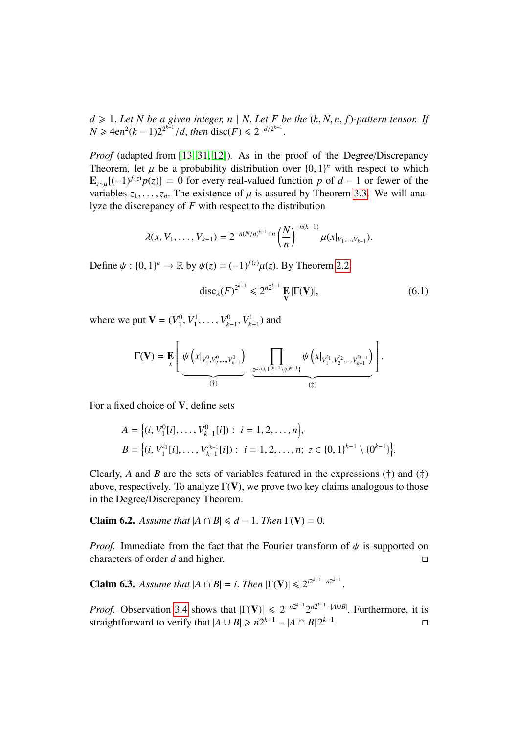$d \ge 1$ . Let N be a given integer,  $n \mid N$ . Let F be the  $(k, N, n, f)$ -pattern tensor. If *N* ≥  $4en^2(k-1)2^{2^{k-1}}/d$ , *then* disc(*F*) ≤  $2^{-d/2^{k-1}}$ 

*Proof* (adapted from [\[13,](#page-31-6) [31,](#page-33-7) [12\]](#page-31-7)). As in the proof of the Degree/Discrepancy Theorem, let  $\mu$  be a probability distribution over  $\{0, 1\}^n$  with respect to which  $\mathbf{F} = [(-1)^{f(z)} p(z)] = 0$  for every real-valued function  $p$  of  $d = 1$  or fewer of the  $\mathbf{E}_{z \sim \mu}[(-1)^{f(z)} p(z)] = 0$  for every real-valued function *p* of *d* − 1 or fewer of the variables  $z_1, \ldots, z_n$ . The existence of  $\mu$  is assured by Theorem [3.3.](#page-10-0) We will analyze the discrepancy of *F* with respect to the distribution

$$
\lambda(x, V_1, \ldots, V_{k-1}) = 2^{-n(N/n)^{k-1}+n} \left(\frac{N}{n}\right)^{-n(k-1)} \mu(x|_{V_1, \ldots, V_{k-1}}).
$$

Define  $\psi : \{0, 1\}^n \to \mathbb{R}$  by  $\psi(z) = (-1)^{f(z)} \mu(z)$ . By Theorem [2.2,](#page-7-0)

<span id="page-26-2"></span>
$$
\operatorname{disc}_{\lambda}(F)^{2^{k-1}} \leq 2^{n2^{k-1}} \mathbf{E} |\Gamma(\mathbf{V})|, \tag{6.1}
$$

where we put  $V = (V_1^0)$  $V_1^0, V_1^1$  $V_{k-1}^1, \ldots, V_{k-1}^0, V_{k-1}^1$  and

$$
\Gamma(\mathbf{V}) = \mathbf{E} \left[ \underbrace{\psi \left( x |_{V_1^0, V_2^0, ..., V_{k-1}^0} \right)}_{(\dagger)} \underbrace{\prod_{z \in \{0,1\}^{k-1} \setminus \{0^{k-1}\} } \psi \left( x |_{V_1^{z_1}, V_2^{z_2}, ..., V_{k-1}^{z_{k-1}} } \right)}_{(\dagger)} \right]
$$

For a fixed choice of <sup>V</sup>, define sets

$$
A = \left\{ (i, V_1^0[i], \dots, V_{k-1}^0[i]) : i = 1, 2, \dots, n \right\},
$$
  
\n
$$
B = \left\{ (i, V_1^{z_1}[i], \dots, V_{k-1}^{z_{k-1}}[i]) : i = 1, 2, \dots, n; z \in \{0, 1\}^{k-1} \setminus \{0^{k-1}\} \right\}.
$$

Clearly, *A* and *B* are the sets of variables featured in the expressions  $(†)$  and  $(†)$ above, respectively. To analyze  $\Gamma(V)$ , we prove two key claims analogous to those in the Degree/Discrepancy Theorem.

<span id="page-26-0"></span>**Claim 6.2.** *Assume that*  $|A \cap B| \le d - 1$ . *Then*  $\Gamma(V) = 0$ .

*Proof.* Immediate from the fact that the Fourier transform of  $\psi$  is supported on characters of order d and higher. characters of order *d* and higher.

<span id="page-26-1"></span>**Claim 6.3.** *Assume that*  $|A \cap B| = i$ *. Then*  $|\Gamma(\mathbf{V})| \le 2^{i2^{k-1} - n2^{k-1}}$ 

*Proof.* Observation [3.4](#page-10-1) shows that  $|\Gamma(V)| \le 2^{-n2^{k-1}} 2^{n2^{k-1}-|A\cup B|}$ . Furthermore, it is straightforward to verify that  $|A| + |B| \ge n2^{k-1} - |A| \cap B|2^{k-1}$ straightforward to verify that  $|A \cup B| \ge n2^{k-1} - |A \cap B|2^{k-1}$ . 2001.<br>2001. – Paris Corpus Corpus Corpus Corpus Corpus Corpus Corpus Corpus Corpus Corpus Corpus Corpus Corpus Corp<br>2001. – Paris Corpus Corpus Corpus Corpus Corpus Corpus Corpus Corpus Corpus Corpus Corpus Corpus Corpus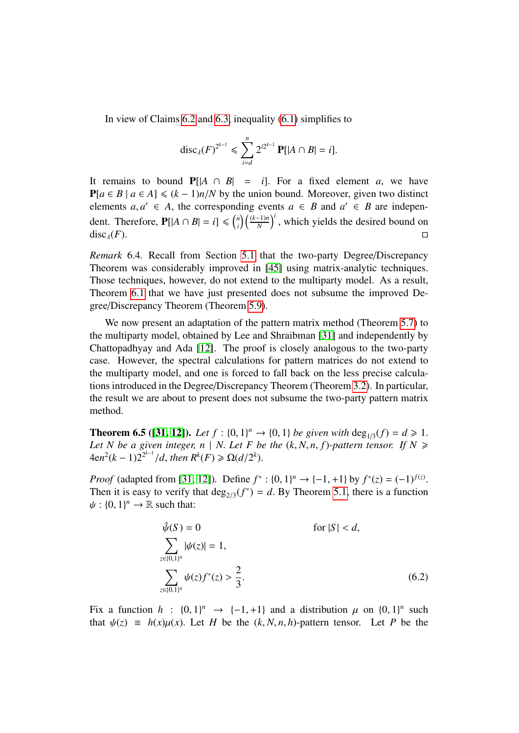In view of Claims [6.2](#page-26-0) and [6.3,](#page-26-1) inequality [\(6.1\)](#page-26-2) simplifies to

$$
\mathrm{disc}_{\lambda}(F)^{2^{k-1}} \leq \sum_{i=d}^{n} 2^{i2^{k-1}} \mathbf{P}[|A \cap B| = i].
$$

It remains to bound  $P[|A \cap B| = i]$ . For a fixed element *a*, we have  $P[a \in B \mid a \in A] \le (k-1)n/N$  by the union bound. Moreover, given two distinct elements *a*, *a*<sup> $\in$ </sup> ∈ *A*, the corresponding events *a* ∈ *B* and *a*<sup> $\in$ </sup> ∈ *B* are independent. Therefore,  $P[|A \cap B| = i] \leq {n \choose i}$  $\binom{n}{i} \left(\frac{(k-1)n}{N}\right)^i$ , which yields the desired bound on disc<sub> $\lambda$ </sub>(*F*).

*Remark* 6.4*.* Recall from Section [5.1](#page-16-0) that the two-party Degree/Discrepancy Theorem was considerably improved in [\[45\]](#page-33-6) using matrix-analytic techniques. Those techniques, however, do not extend to the multiparty model. As a result, Theorem [6.1](#page-25-1) that we have just presented does not subsume the improved Degree/Discrepancy Theorem (Theorem [5.9\)](#page-20-0).

We now present an adaptation of the pattern matrix method (Theorem [5.7\)](#page-18-1) to the multiparty model, obtained by Lee and Shraibman [\[31\]](#page-33-7) and independently by Chattopadhyay and Ada [\[12\]](#page-31-7). The proof is closely analogous to the two-party case. However, the spectral calculations for pattern matrices do not extend to the multiparty model, and one is forced to fall back on the less precise calculations introduced in the Degree/Discrepancy Theorem (Theorem [3.2\)](#page-9-0). In particular, the result we are about to present does not subsume the two-party pattern matrix method.

**Theorem 6.5** ([\[31,](#page-33-7) [12\]](#page-31-7)). Let  $f : \{0, 1\}^n \rightarrow \{0, 1\}$  be given with  $\deg_{1/3}(f) = d \ge 1$ .<br>Let N be a given integer  $n \mid N$  Let E be the (k N n f)-pattern tensor. If N > *Let N* be a given integer, *n* | *N*. *Let F* be the  $(k, N, n, f)$ -pattern tensor. If  $N \ge$   $\Delta$   $\theta^{n^2(k-1)}$  *d* then  $R^k(F) \ge O(d/2^k)$  $4en^2(k-1)2^{2^{k-1}}/d$ , then  $R^k(F) \ge \Omega(d/2^k)$ .

*Proof* (adapted from [\[31,](#page-33-7) [12\]](#page-31-7)). Define  $f^*: \{0, 1\}^n \to \{-1, +1\}$  by  $f^*(z) = (-1)^{f(z)}$ <br>Then it is easy to verify that deg  $(f^*) = d$ . By Theorem 5.1, there is a function Then it is easy to verify that  $deg_{2/3}(f^*) = d$ . By Theorem [5.1,](#page-15-1) there is a function  $u \cdot 10^{-1}$   $\rightarrow \mathbb{R}$  such that:  $\psi : \{0, 1\}^n \to \mathbb{R}$  such that:

<span id="page-27-0"></span>
$$
\hat{\psi}(S) = 0 \qquad \text{for } |S| < d,
$$
\n
$$
\sum_{z \in \{0,1\}^n} |\psi(z)| = 1,
$$
\n
$$
\sum_{z \in \{0,1\}^n} \psi(z) f^*(z) > \frac{2}{3}.\tag{6.2}
$$

Fix a function  $h : \{0, 1\}^n \rightarrow \{-1, +1\}$  and a distribution  $\mu$  on  $\{0, 1\}^n$  such that  $y(x) = h(x)y(x)$ . Let H be the  $(k, N, n, h)$ -pattern tensor. Let H be the that  $\psi(z) = h(x)\mu(x)$ . Let *H* be the  $(k, N, n, h)$ -pattern tensor. Let *P* be the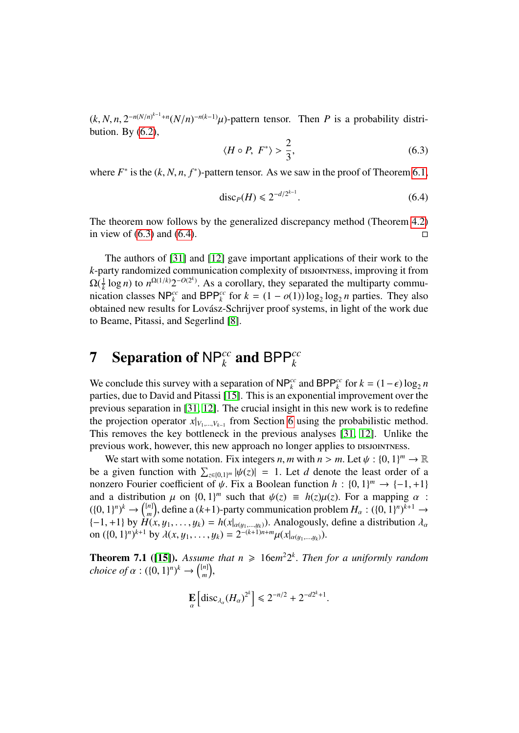$(k, N, n, 2^{-n(N/n)^{k-1}+n}(N/n)^{-n(k-1)}\mu$ -pattern tensor. Then *P* is a probability distribution By (6.2) bution. By  $(6.2)$ ,

<span id="page-28-1"></span>
$$
\langle H \circ P, F^* \rangle > \frac{2}{3},\tag{6.3}
$$

where  $F^*$  is the  $(k, N, n, f^*)$ -pattern tensor. As we saw in the proof of Theorem [6.1,](#page-25-1)

<span id="page-28-2"></span>
$$
\text{disc}_P(H) \leq 2^{-d/2^{k-1}}.\tag{6.4}
$$

The theorem now follows by the generalized discrepancy method (Theorem [4.2\)](#page-14-1) in view of  $(6.3)$  and  $(6.4)$ .

The authors of [\[31\]](#page-33-7) and [\[12\]](#page-31-7) gave important applications of their work to the *k*-party randomized communication complexity of pisson riness, improving it from  $\Omega(\frac{1}{k}$  $\frac{1}{k}$  log *n*) to  $n^{\Omega(1/k)}2^{-O(2^k)}$ . As a corollary, they separated the multiparty commu-<br>ation classes NP<sup>cc</sup> and BPP<sup>cc</sup> for  $k - (1 - o(1)) \log \log n$  parties. They also nication classes  $NP_k^{cc}$  and  $BPP_k^{cc}$  for  $k = (1 - o(1)) \log_2 \log_2 n$  parties. They also obtained new results for Lovász-Schrijver proof systems, in light of the work due to Beame, Pitassi, and Segerlind [\[8\]](#page-31-9).

# <span id="page-28-0"></span>**7** Separation of NP<sup>cc</sup> and BPP<sup>cc</sup>

We conclude this survey with a separation of  $NP_k^{cc}$  and  $BPP_k^{cc}$  for  $k = (1 - \epsilon) \log_2 n$ <br>parties, due to David and Pitassi [15]. This is an exponential improvement over the parties, due to David and Pitassi [\[15\]](#page-31-8). This is an exponential improvement over the previous separation in [\[31,](#page-33-7) [12\]](#page-31-7). The crucial insight in this new work is to redefine the projection operator  $x|_{V_1,\dots,V_{k-1}}$  from Section [6](#page-25-0) using the probabilistic method. This removes the key bottleneck in the previous analyses [\[31,](#page-33-7) [12\]](#page-31-7). Unlike the previous work, however, this new approach no longer applies to *pisjon Thess*.

We start with some notation. Fix integers *n*, *m* with  $n > m$ . Let  $\psi : \{0, 1\}^m \to \mathbb{R}$ <br>a given function with  $\sum_{n=0}^{\infty} |y(n)| = 1$ . Let *d* denote the least order of a be a given function with  $\sum_{z \in \{0,1\}^m} |\psi(z)| = 1$ . Let *d* denote the least order of a<br>popzero Fourier coefficient of  $\psi$  Fix a Boolean function  $h : \{0, 1\}^m \to \{ -1, +1\}$ nonzero Fourier coefficient of  $\psi$ . Fix a Boolean function  $h : \{0, 1\}^m \to \{-1, +1\}$ <br>and a distribution  $\mu$  on  $\{0, 1\}^m$  such that  $\mu(z) = h(z)\mu(z)$ . For a manning  $\alpha$ . and a distribution  $\mu$  on  $\{0, 1\}^m$  such that  $\psi(z) \equiv h(z)\mu(z)$ . For a mapping  $\alpha$ :<br>((0, 1)<sup>n</sup>)<sup>k</sup>  $\rightarrow$  ([n]) define a (k+1)-party communication problem  $H \rightarrow (0, 1)^n$ <sup>k+1</sup>  $\rightarrow$  $((0, 1)^n)^k \to {[n] \choose m}$ <br> $(-1, +1)$  by  $H($ *m*<sup>(*n*</sup>), define a (*k*+1)-party communication problem  $H_{\alpha}$  :  $(\{0, 1\}^n)^{k+1} \rightarrow$ <br>*H(x u, \_\_\_u) = h(x| c*) Analogously define a distribution d  ${-1, +1}$  by  $\hat{H}(x, y_1, \dots, y_k) = h(x|_{\alpha(y_1, \dots, y_k)})$ . Analogously, define a distribution  $\lambda_\alpha$ <br>on  $(\beta \ 1|^{n})^{k+1}$  by  $\lambda(x, y_1, \dots, y_k) = 2^{-(k+1)n+m} u(x)$ on  $((0, 1)^n)^{k+1}$  by  $\lambda(x, y_1, ..., y_k) = 2^{-(k+1)n+m} \mu(x|_{\alpha(y_1,...,y_k)})$ .

<span id="page-28-3"></span>**Theorem 7.1** ([\[15\]](#page-31-8)). Assume that  $n \ge 16$ em<sup>2</sup>2<sup>k</sup>. Then for a uniformly random choice of  $\alpha : (10, 1)^n$ <sup>k</sup>  $\rightarrow$   $\binom{[n]}{n}$ *choice of*  $\alpha$ :  $({0, 1})^n$ <sup> $k$ </sup>  $\rightarrow$   ${[n] \choose m}$ *m* ,

$$
\mathbf{E}_{\alpha}\left[\mathrm{disc}_{\lambda_{\alpha}}(H_{\alpha})^{2^{k}}\right] \leq 2^{-n/2} + 2^{-d2^{k}+1}.
$$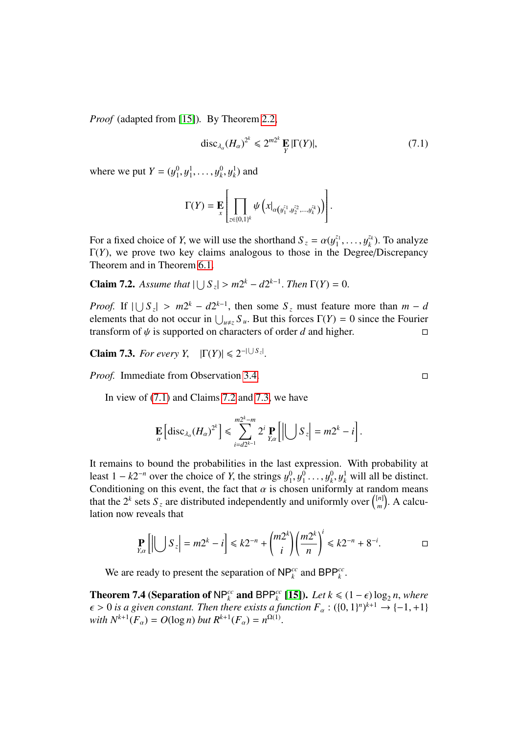*Proof* (adapted from [\[15\]](#page-31-8))*.* By Theorem [2.2,](#page-7-0)

<span id="page-29-0"></span>
$$
\operatorname{disc}_{\lambda_{\alpha}}(H_{\alpha})^{2^{k}} \leq 2^{m2^{k}} \mathop{\mathbf{E}}_{Y} |\Gamma(Y)|,
$$
 (7.1)

where we put  $Y = (y_1^0)$  $y_1^0, y_1^1, \ldots, y_k^0, y_k^1$  and

$$
\Gamma(Y) = \mathbf{E}\left[\prod_{z \in \{0,1\}^k} \psi\left(x|_{\alpha\left(y_1^{z_1}, y_2^{z_2}, \dots, y_k^{z_k}\right)}\right)\right].
$$

For a fixed choice of *Y*, we will use the shorthand  $S_z = \alpha (y_1^{z_1})$ <br> $\Gamma(Y)$ , we prove two key claims analogous to those in the 1  $\Gamma(Y)$ , we prove two key claims analogous to those in the Degree/Discrepancy<br>Theorem and in Theorem 6.1 *zk*  $\chi_k^{z_k}$ ). To analyze Theorem and in Theorem [6.1.](#page-25-1)

<span id="page-29-1"></span>**Claim 7.2.** *Assume that*  $|\bigcup S_z| > m2^k - d2^{k-1}$ *. Then*  $\Gamma(Y) = 0$ *.* 

*Proof.* If  $|\bigcup S_z| > m2^k - d2^{k-1}$ , then some  $S_z$  must feature more than  $m - d$ <br>elements that do not occur in  $|\cdot| = S$ . But this forces  $\Gamma(Y) = 0$  since the Fourier elements that do not occur in  $\bigcup_{u \neq z} S_u$ . But this forces  $\Gamma(Y) = 0$  since the Fourier<br>transform of *N* is supported on characters of order *d* and higher transform of  $\psi$  is supported on characters of order *d* and higher.

<span id="page-29-2"></span>**Claim 7.3.** *For every Y*,  $|\Gamma(Y)| \le 2^{-|\bigcup S_{z}}$ |

*Proof.* Immediate from Observation [3.4.](#page-10-1) □

In view of [\(7.1\)](#page-29-0) and Claims [7.2](#page-29-1) and [7.3,](#page-29-2) we have

$$
\mathop{\mathbf{E}}_{\alpha}\left[ \text{disc}_{\lambda_{\alpha}}(H_{\alpha})^{2^{k}} \right] \leq \sum_{i=d2^{k-1}}^{m2^{k}-m} 2^{i} \mathop{\mathbf{P}}_{Y,\alpha}\left[ \left| \bigcup S_{z} \right| = m2^{k} - i \right].
$$

It remains to bound the probabilities in the last expression. With probability at least  $1 - k2^{-n}$  over the choice of *Y*, the strings  $y_1^0$ <br>Conditioning on this event, the fact that  $\alpha$  is cho  $y_1^0, y_1^0, \ldots, y_k^0, y_k^1$  will all be distinct. Conditioning on this event, the fact that  $\alpha$  is chosen uniformly at random means that the  $2^k$  sets  $S_z$  are distributed independently and uniformly over  $\binom{[n]}{m}$  $\binom{[n]}{m}$ . A calculation now reveals that

$$
\Pr_{Y,\alpha}\left[\left|\bigcup S_z\right|=m2^k-i\right]\leq k2^{-n}+\binom{m2^k}{i}\left(\frac{m2^k}{n}\right)^i\leq k2^{-n}+8^{-i}.
$$

We are ready to present the separation of  $NP_k^{cc}$  and  $BPP_k^{cc}$ .

<span id="page-29-3"></span>**Theorem 7.4 (Separation of NP<sup>cc</sup>**</sup> **and** BPP<sup>cc</sup> [\[15\]](#page-31-8)). *Let k* ≤ (1 −  $\epsilon$ ) log<sub>2</sub> *n*, *where*  $\epsilon > 0$  is a given constant. Then there exists a function  $F : (0, 1)^n k^{+1} \rightarrow 1 - 1 + 1$  $\epsilon > 0$  *is a given constant. Then there exists a function*  $F_{\alpha}$  :  $(\{0, 1\}^n)^{k+1} \rightarrow \{-1, +1\}$ <br>with  $N^{k+1}(F) = O(\log n)$  but  $R^{k+1}(F) = n^{\Omega(1)}$ *with*  $N^{k+1}(F_\alpha) = O(\log n)$  *but*  $R^{k+1}(F_\alpha) = n^{\Omega(1)}$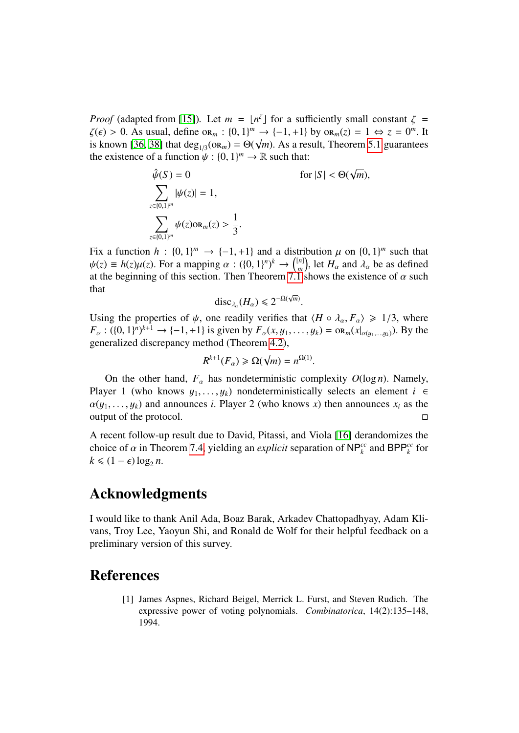*Proof* (adapted from [\[15\]](#page-31-8)). Let  $m = \lfloor n^{\zeta} \rfloor$  for a sufficiently small constant  $\zeta = \zeta(\zeta) > 0$ . As usual define on  $\zeta = \lfloor (0, 1)^m \rfloor \to \zeta = 1 + 11$  by on  $(\zeta) = 1 \Leftrightarrow \zeta = 0^m$  It  $\zeta(\epsilon) > 0$ . As usual, define  $\alpha_m : \{0, 1\}^m \to \{-1, +1\}$  by  $\alpha_m(z) = 1 \Leftrightarrow z = 0^m$ . It<br>is known [36, 38] that deg (op.) =  $\Theta(\sqrt{m})$ . As a result Theorem 5.1 quarantees is known [\[36,](#page-33-2) [38\]](#page-33-3) that deg<sub>1/3</sub>(or<sub>m</sub>) =  $\Theta(\sqrt{m})$ . As a result, Theorem [5.1](#page-15-1) guarantees<br>the existence of a function  $\psi : \{0, 1\}^m \to \mathbb{R}$  such that: the existence of a function  $\psi : \{0, 1\}^m \to \mathbb{R}$  such that:

$$
\hat{\psi}(S) = 0 \qquad \text{for } |S| < \Theta(\sqrt{m}),
$$
\n
$$
\sum_{z \in \{0,1\}^m} |\psi(z)| = 1,
$$
\n
$$
\sum_{z \in \{0,1\}^m} \psi(z) \text{or}_{m}(z) > \frac{1}{3}.
$$

Fix a function  $h : \{0, 1\}^m \to \{-1, +1\}$  and a distribution  $\mu$  on  $\{0, 1\}^m$  such that  $h(x) = h(x)u(x)$ . For a mapping  $\alpha : (\{0, 1\}^n)^k \to (\{n\})$  let H and  $\lambda$  be as defined  $\psi(z) \equiv h(z)\mu(z)$ . For a mapping  $\alpha : (\{0, 1\}^n)^k \to \binom{[n]}{m}$ <br>at the beginning of this section. Then Theorem 7.1 <sup>[n]</sup>, let  $H_{\alpha}$  and  $\lambda_{\alpha}$  be as defined<br>1 shows the existence of  $\alpha$  such at the beginning of this section. Then Theorem [7.1](#page-28-3) shows the existence of  $\alpha$  such that √

$$
\mathrm{disc}_{\lambda_{\alpha}}(H_{\alpha}) \leq 2^{-\Omega(\sqrt{m})}
$$

Using the properties of  $\psi$ , one readily verifies that  $\langle H \circ \lambda_{\alpha}, F_{\alpha} \rangle \ge 1/3$ , where  $F \cdot (10, 1)^{n}$ <sup>k+1</sup>  $\rightarrow$   $[-1, +1]$  is given by  $F \cdot (x, u_1, \ldots, u_k) = \text{OP} \cdot (x | u_1, \ldots, x | u_k)$ .  $F_{\alpha}: ((0, 1)^n)^{k+1} \to \{-1, +1\}$  is given by  $F_{\alpha}(x, y_1, \dots, y_k) = \text{OR}_m(x|_{\alpha(y_1, \dots, y_k)})$ . By the generalized discrepancy method (Theorem 4.2) generalized discrepancy method (Theorem [4.2\)](#page-14-1),

$$
R^{k+1}(F_{\alpha}) \geq \Omega(\sqrt{m}) = n^{\Omega(1)}.
$$

On the other hand,  $F_\alpha$  has nondeterministic complexity  $O(\log n)$ . Namely, wer 1 (who knows  $\mu$ ,  $\mu$ ) nondeterministically selects an element  $i \in$ Player 1 (who knows  $y_1, \ldots, y_k$ ) nondeterministically selects an element  $i \in$  $\alpha(y_1, \ldots, y_k)$  and announces *i*. Player 2 (who knows *x*) then announces  $x_i$  as the output of the protocol. output of the protocol.

A recent follow-up result due to David, Pitassi, and Viola [\[16\]](#page-32-9) derandomizes the choice of  $\alpha$  in Theorem [7.4,](#page-29-3) yielding an *explicit* separation of  $NP_k^{cc}$  and  $BPP_k^{cc}$  for  $k \leq (1 - \epsilon) \log n$  $k \leq (1 - \epsilon) \log_2 n$ .

## Acknowledgments

I would like to thank Anil Ada, Boaz Barak, Arkadev Chattopadhyay, Adam Klivans, Troy Lee, Yaoyun Shi, and Ronald de Wolf for their helpful feedback on a preliminary version of this survey.

### <span id="page-30-0"></span>References

[1] James Aspnes, Richard Beigel, Merrick L. Furst, and Steven Rudich. The expressive power of voting polynomials. *Combinatorica*, 14(2):135–148, 1994.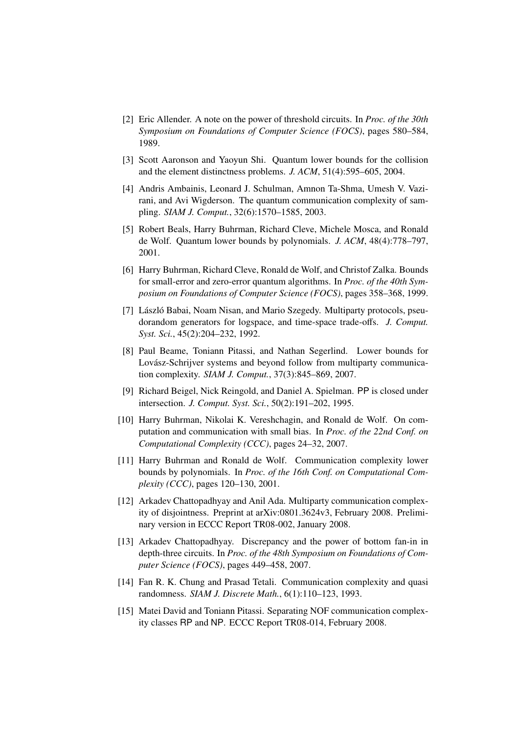- <span id="page-31-12"></span>[2] Eric Allender. A note on the power of threshold circuits. In *Proc. of the 30th Symposium on Foundations of Computer Science (FOCS)*, pages 580–584, 1989.
- <span id="page-31-2"></span>[3] Scott Aaronson and Yaoyun Shi. Quantum lower bounds for the collision and the element distinctness problems. *J. ACM*, 51(4):595–605, 2004.
- <span id="page-31-13"></span>[4] Andris Ambainis, Leonard J. Schulman, Amnon Ta-Shma, Umesh V. Vazirani, and Avi Wigderson. The quantum communication complexity of sampling. *SIAM J. Comput.*, 32(6):1570–1585, 2003.
- <span id="page-31-3"></span>[5] Robert Beals, Harry Buhrman, Richard Cleve, Michele Mosca, and Ronald de Wolf. Quantum lower bounds by polynomials. *J. ACM*, 48(4):778–797, 2001.
- <span id="page-31-1"></span>[6] Harry Buhrman, Richard Cleve, Ronald de Wolf, and Christof Zalka. Bounds for small-error and zero-error quantum algorithms. In *Proc. of the 40th Symposium on Foundations of Computer Science (FOCS)*, pages 358–368, 1999.
- <span id="page-31-10"></span>[7] László Babai, Noam Nisan, and Mario Szegedy. Multiparty protocols, pseudorandom generators for logspace, and time-space trade-offs. *J. Comput. Syst. Sci.*, 45(2):204–232, 1992.
- <span id="page-31-9"></span>[8] Paul Beame, Toniann Pitassi, and Nathan Segerlind. Lower bounds for Lovász-Schrijver systems and beyond follow from multiparty communication complexity. *SIAM J. Comput.*, 37(3):845–869, 2007.
- <span id="page-31-0"></span>[9] Richard Beigel, Nick Reingold, and Daniel A. Spielman. PP is closed under intersection. *J. Comput. Syst. Sci.*, 50(2):191–202, 1995.
- <span id="page-31-5"></span>[10] Harry Buhrman, Nikolai K. Vereshchagin, and Ronald de Wolf. On computation and communication with small bias. In *Proc. of the 22nd Conf. on Computational Complexity (CCC)*, pages 24–32, 2007.
- <span id="page-31-4"></span>[11] Harry Buhrman and Ronald de Wolf. Communication complexity lower bounds by polynomials. In *Proc. of the 16th Conf. on Computational Complexity (CCC)*, pages 120–130, 2001.
- <span id="page-31-7"></span>[12] Arkadev Chattopadhyay and Anil Ada. Multiparty communication complexity of disjointness. Preprint at arXiv:0801.3624v3, February 2008. Preliminary version in ECCC Report TR08-002, January 2008.
- <span id="page-31-6"></span>[13] Arkadev Chattopadhyay. Discrepancy and the power of bottom fan-in in depth-three circuits. In *Proc. of the 48th Symposium on Foundations of Computer Science (FOCS)*, pages 449–458, 2007.
- <span id="page-31-11"></span>[14] Fan R. K. Chung and Prasad Tetali. Communication complexity and quasi randomness. *SIAM J. Discrete Math.*, 6(1):110–123, 1993.
- <span id="page-31-8"></span>[15] Matei David and Toniann Pitassi. Separating NOF communication complexity classes RP and NP. ECCC Report TR08-014, February 2008.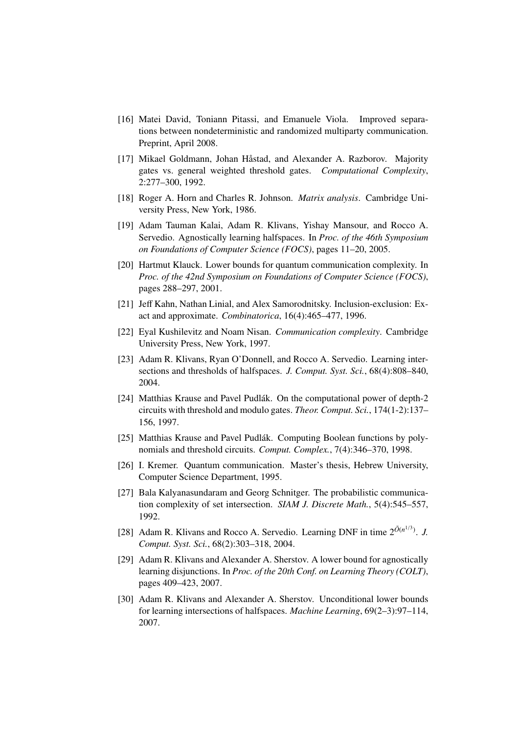- <span id="page-32-9"></span>[16] Matei David, Toniann Pitassi, and Emanuele Viola. Improved separations between nondeterministic and randomized multiparty communication. Preprint, April 2008.
- <span id="page-32-13"></span>[17] Mikael Goldmann, Johan Håstad, and Alexander A. Razborov. Majority gates vs. general weighted threshold gates. *Computational Complexity*, 2:277–300, 1992.
- <span id="page-32-10"></span>[18] Roger A. Horn and Charles R. Johnson. *Matrix analysis*. Cambridge University Press, New York, 1986.
- <span id="page-32-6"></span>[19] Adam Tauman Kalai, Adam R. Klivans, Yishay Mansour, and Rocco A. Servedio. Agnostically learning halfspaces. In *Proc. of the 46th Symposium on Foundations of Computer Science (FOCS)*, pages 11–20, 2005.
- <span id="page-32-8"></span>[20] Hartmut Klauck. Lower bounds for quantum communication complexity. In *Proc. of the 42nd Symposium on Foundations of Computer Science (FOCS)*, pages 288–297, 2001.
- <span id="page-32-5"></span>[21] Jeff Kahn, Nathan Linial, and Alex Samorodnitsky. Inclusion-exclusion: Exact and approximate. *Combinatorica*, 16(4):465–477, 1996.
- <span id="page-32-11"></span>[22] Eyal Kushilevitz and Noam Nisan. *Communication complexity*. Cambridge University Press, New York, 1997.
- <span id="page-32-3"></span>[23] Adam R. Klivans, Ryan O'Donnell, and Rocco A. Servedio. Learning intersections and thresholds of halfspaces. *J. Comput. Syst. Sci.*, 68(4):808–840, 2004.
- <span id="page-32-0"></span>[24] Matthias Krause and Pavel Pudlák. On the computational power of depth-2 circuits with threshold and modulo gates. *Theor. Comput. Sci.*, 174(1-2):137– 156, 1997.
- <span id="page-32-1"></span>[25] Matthias Krause and Pavel Pudlák. Computing Boolean functions by polynomials and threshold circuits. *Comput. Complex.*, 7(4):346–370, 1998.
- <span id="page-32-12"></span>[26] I. Kremer. Quantum communication. Master's thesis, Hebrew University, Computer Science Department, 1995.
- <span id="page-32-14"></span>[27] Bala Kalyanasundaram and Georg Schnitger. The probabilistic communication complexity of set intersection. *SIAM J. Discrete Math.*, 5(4):545–557, 1992.
- <span id="page-32-2"></span>[28] Adam R. Klivans and Rocco A. Servedio. Learning DNF in time  $2^{\tilde{O}(n^{1/3})}$ . *J. Comput. Syst. Sci.*, 68(2):303–318, 2004.
- <span id="page-32-7"></span>[29] Adam R. Klivans and Alexander A. Sherstov. A lower bound for agnostically learning disjunctions. In *Proc. of the 20th Conf. on Learning Theory (COLT)*, pages 409–423, 2007.
- <span id="page-32-4"></span>[30] Adam R. Klivans and Alexander A. Sherstov. Unconditional lower bounds for learning intersections of halfspaces. *Machine Learning*, 69(2–3):97–114, 2007.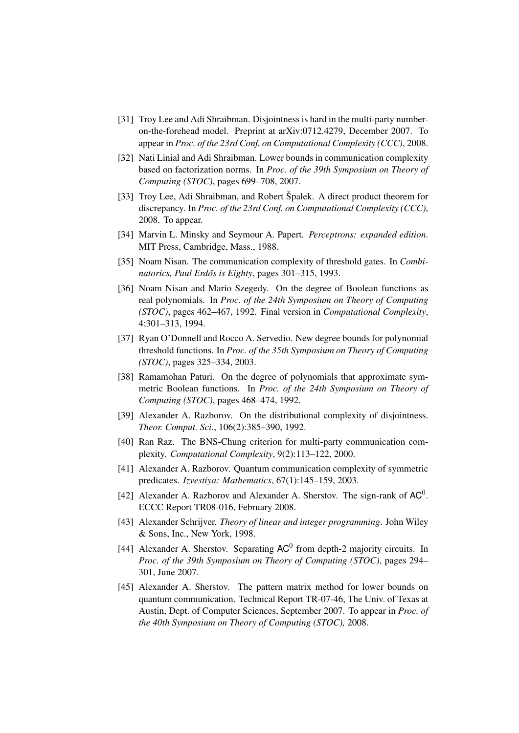- <span id="page-33-7"></span>[31] Troy Lee and Adi Shraibman. Disjointness is hard in the multi-party numberon-the-forehead model. Preprint at arXiv:0712.4279, December 2007. To appear in *Proc. of the 23rd Conf. on Computational Complexity (CCC)*, 2008.
- <span id="page-33-9"></span>[32] Nati Linial and Adi Shraibman. Lower bounds in communication complexity based on factorization norms. In *Proc. of the 39th Symposium on Theory of Computing (STOC)*, pages 699–708, 2007.
- <span id="page-33-10"></span>[33] Troy Lee, Adi Shraibman, and Robert Špalek. A direct product theorem for discrepancy. In *Proc. of the 23rd Conf. on Computational Complexity (CCC)*, 2008. To appear.
- <span id="page-33-0"></span>[34] Marvin L. Minsky and Seymour A. Papert. *Perceptrons: expanded edition*. MIT Press, Cambridge, Mass., 1988.
- <span id="page-33-12"></span>[35] Noam Nisan. The communication complexity of threshold gates. In *Combi*natorics, Paul Erdős is Eighty, pages 301–315, 1993.
- <span id="page-33-2"></span>[36] Noam Nisan and Mario Szegedy. On the degree of Boolean functions as real polynomials. In *Proc. of the 24th Symposium on Theory of Computing (STOC)*, pages 462–467, 1992. Final version in *Computational Complexity*, 4:301–313, 1994.
- <span id="page-33-1"></span>[37] Ryan O'Donnell and Rocco A. Servedio. New degree bounds for polynomial threshold functions. In *Proc. of the 35th Symposium on Theory of Computing (STOC)*, pages 325–334, 2003.
- <span id="page-33-3"></span>[38] Ramamohan Paturi. On the degree of polynomials that approximate symmetric Boolean functions. In *Proc. of the 24th Symposium on Theory of Computing (STOC)*, pages 468–474, 1992.
- <span id="page-33-14"></span>[39] Alexander A. Razborov. On the distributional complexity of disjointness. *Theor. Comput. Sci.*, 106(2):385–390, 1992.
- <span id="page-33-11"></span>[40] Ran Raz. The BNS-Chung criterion for multi-party communication complexity. *Computational Complexity*, 9(2):113–122, 2000.
- <span id="page-33-4"></span>[41] Alexander A. Razborov. Quantum communication complexity of symmetric predicates. *Izvestiya: Mathematics*, 67(1):145–159, 2003.
- <span id="page-33-8"></span>[42] Alexander A. Razborov and Alexander A. Sherstov. The sign-rank of  $AC^0$ . ECCC Report TR08-016, February 2008.
- <span id="page-33-13"></span>[43] Alexander Schrijver. *Theory of linear and integer programming*. John Wiley & Sons, Inc., New York, 1998.
- <span id="page-33-5"></span>[44] Alexander A. Sherstov. Separating  $AC^0$  from depth-2 majority circuits. In *Proc. of the 39th Symposium on Theory of Computing (STOC)*, pages 294– 301, June 2007.
- <span id="page-33-6"></span>[45] Alexander A. Sherstov. The pattern matrix method for lower bounds on quantum communication. Technical Report TR-07-46, The Univ. of Texas at Austin, Dept. of Computer Sciences, September 2007. To appear in *Proc. of the 40th Symposium on Theory of Computing (STOC),* 2008.